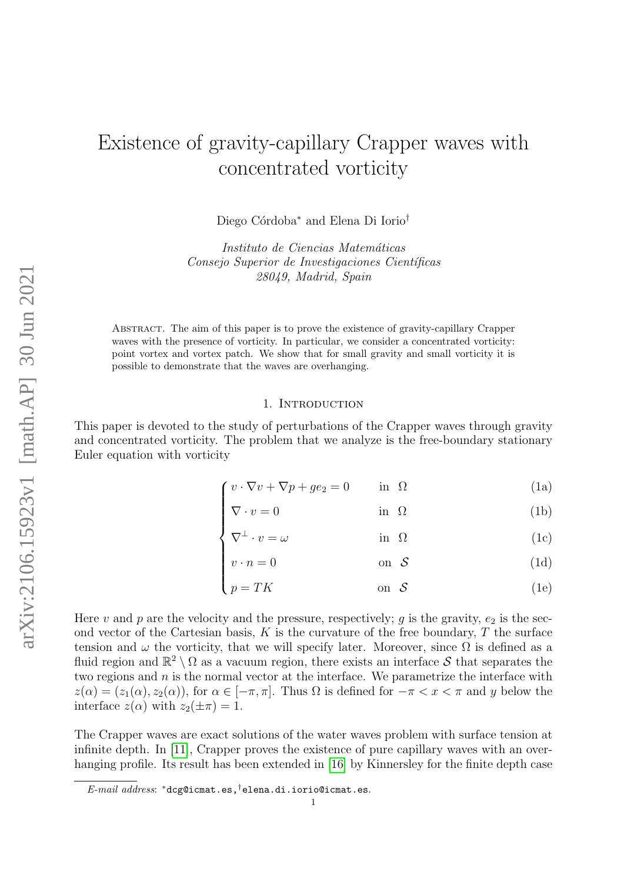# Existence of gravity-capillary Crapper waves with concentrated vorticity

Diego Córdoba<sup>∗</sup> and Elena Di Iorio<sup>†</sup>

Instituto de Ciencias Matemáticas Consejo Superior de Investigaciones Científicas 28049, Madrid, Spain

Abstract. The aim of this paper is to prove the existence of gravity-capillary Crapper waves with the presence of vorticity. In particular, we consider a concentrated vorticity: point vortex and vortex patch. We show that for small gravity and small vorticity it is possible to demonstrate that the waves are overhanging.

### <span id="page-0-3"></span><span id="page-0-1"></span>1. INTRODUCTION

<span id="page-0-0"></span>This paper is devoted to the study of perturbations of the Crapper waves through gravity and concentrated vorticity. The problem that we analyze is the free-boundary stationary Euler equation with vorticity

$$
\int v \cdot \nabla v + \nabla p + g e_2 = 0 \qquad \text{in } \Omega \tag{1a}
$$

$$
\nabla \cdot v = 0 \qquad \text{in } \Omega \tag{1b}
$$
\n
$$
\nabla^{\perp} \cdot v = \omega \qquad \text{in } \Omega \tag{1c}
$$

$$
\nabla^{\perp} \cdot v = \omega \qquad \qquad \text{in } \Omega \tag{1c}
$$

<span id="page-0-4"></span><span id="page-0-2"></span>
$$
v \cdot n = 0 \qquad \text{on } \mathcal{S} \tag{1d}
$$

$$
\begin{cases}\nv \cdot n = 0 & \text{on } \mathcal{S} \\
p = TK & \text{on } \mathcal{S}\n\end{cases}
$$
\n(1d)

Here v and p are the velocity and the pressure, respectively; q is the gravity,  $e_2$  is the second vector of the Cartesian basis,  $K$  is the curvature of the free boundary,  $T$  the surface tension and  $\omega$  the vorticity, that we will specify later. Moreover, since  $\Omega$  is defined as a fluid region and  $\mathbb{R}^2 \setminus \Omega$  as a vacuum region, there exists an interface S that separates the two regions and  $n$  is the normal vector at the interface. We parametrize the interface with  $z(\alpha) = (z_1(\alpha), z_2(\alpha))$ , for  $\alpha \in [-\pi, \pi]$ . Thus  $\Omega$  is defined for  $-\pi < x < \pi$  and y below the interface  $z(\alpha)$  with  $z_2(\pm \pi) = 1$ .

The Crapper waves are exact solutions of the water waves problem with surface tension at infinite depth. In [\[11\]](#page-33-0), Crapper proves the existence of pure capillary waves with an over-hanging profile. Its result has been extended in [\[16\]](#page-33-1) by Kinnersley for the finite depth case

 $E\text{-}mail\;address: \;$ \*dcg@icmat.es,<sup>†</sup>elena.di.iorio@icmat.es.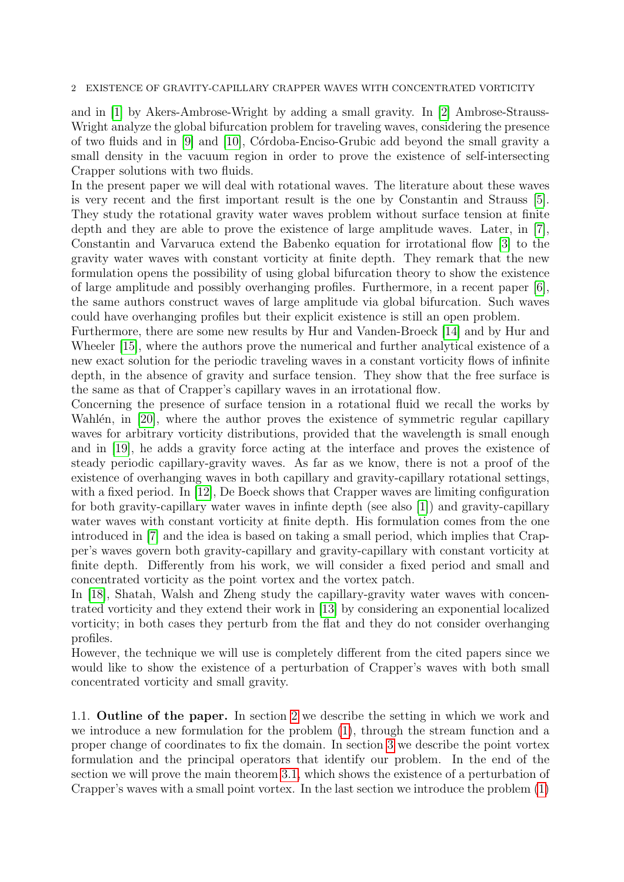### 2 EXISTENCE OF GRAVITY-CAPILLARY CRAPPER WAVES WITH CONCENTRATED VORTICITY

and in [\[1\]](#page-32-0) by Akers-Ambrose-Wright by adding a small gravity. In [\[2\]](#page-32-1) Ambrose-Strauss-Wright analyze the global bifurcation problem for traveling waves, considering the presence of two fluids and in [\[9\]](#page-33-2) and [\[10\]](#page-33-3), C´ordoba-Enciso-Grubic add beyond the small gravity a small density in the vacuum region in order to prove the existence of self-intersecting Crapper solutions with two fluids.

In the present paper we will deal with rotational waves. The literature about these waves is very recent and the first important result is the one by Constantin and Strauss [\[5\]](#page-32-2). They study the rotational gravity water waves problem without surface tension at finite depth and they are able to prove the existence of large amplitude waves. Later, in [\[7\]](#page-33-4), Constantin and Varvaruca extend the Babenko equation for irrotational flow [\[3\]](#page-32-3) to the gravity water waves with constant vorticity at finite depth. They remark that the new formulation opens the possibility of using global bifurcation theory to show the existence of large amplitude and possibly overhanging profiles. Furthermore, in a recent paper [\[6\]](#page-32-4), the same authors construct waves of large amplitude via global bifurcation. Such waves could have overhanging profiles but their explicit existence is still an open problem.

Furthermore, there are some new results by Hur and Vanden-Broeck [\[14\]](#page-33-5) and by Hur and Wheeler [\[15\]](#page-33-6), where the authors prove the numerical and further analytical existence of a new exact solution for the periodic traveling waves in a constant vorticity flows of infinite depth, in the absence of gravity and surface tension. They show that the free surface is the same as that of Crapper's capillary waves in an irrotational flow.

Concerning the presence of surface tension in a rotational fluid we recall the works by Wahlén, in [\[20\]](#page-33-7), where the author proves the existence of symmetric regular capillary waves for arbitrary vorticity distributions, provided that the wavelength is small enough and in [\[19\]](#page-33-8), he adds a gravity force acting at the interface and proves the existence of steady periodic capillary-gravity waves. As far as we know, there is not a proof of the existence of overhanging waves in both capillary and gravity-capillary rotational settings, with a fixed period. In [\[12\]](#page-33-9), De Boeck shows that Crapper waves are limiting configuration for both gravity-capillary water waves in infinte depth (see also [\[1\]](#page-32-0)) and gravity-capillary water waves with constant vorticity at finite depth. His formulation comes from the one introduced in [\[7\]](#page-33-4) and the idea is based on taking a small period, which implies that Crapper's waves govern both gravity-capillary and gravity-capillary with constant vorticity at finite depth. Differently from his work, we will consider a fixed period and small and concentrated vorticity as the point vortex and the vortex patch.

In [\[18\]](#page-33-10), Shatah, Walsh and Zheng study the capillary-gravity water waves with concentrated vorticity and they extend their work in [\[13\]](#page-33-11) by considering an exponential localized vorticity; in both cases they perturb from the flat and they do not consider overhanging profiles.

However, the technique we will use is completely different from the cited papers since we would like to show the existence of a perturbation of Crapper's waves with both small concentrated vorticity and small gravity.

1.1. Outline of the paper. In section [2](#page-2-0) we describe the setting in which we work and we introduce a new formulation for the problem [\(1\)](#page-0-0), through the stream function and a proper change of coordinates to fix the domain. In section [3](#page-5-0) we describe the point vortex formulation and the principal operators that identify our problem. In the end of the section we will prove the main theorem [3.1,](#page-10-0) which shows the existence of a perturbation of Crapper's waves with a small point vortex. In the last section we introduce the problem [\(1\)](#page-0-0)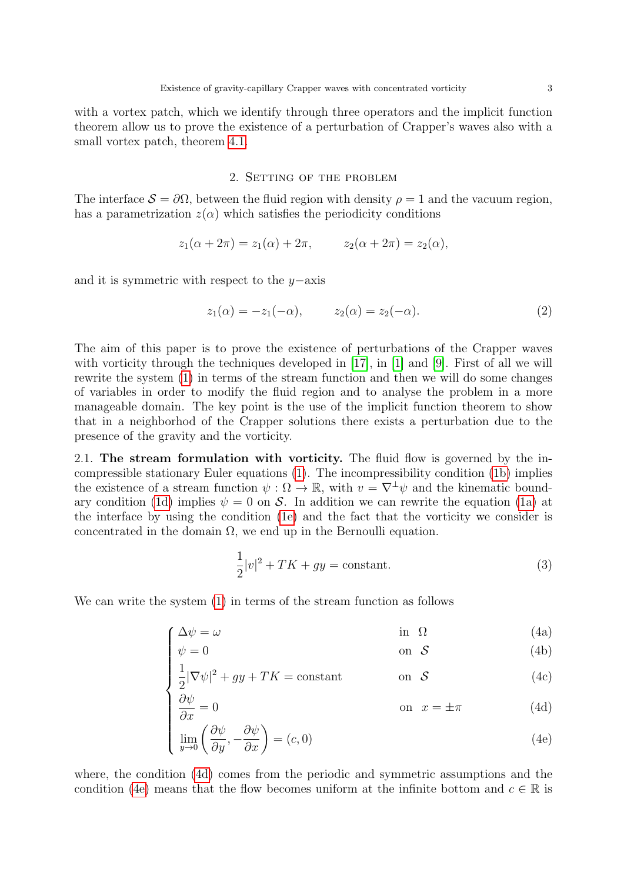with a vortex patch, which we identify through three operators and the implicit function theorem allow us to prove the existence of a perturbation of Crapper's waves also with a small vortex patch, theorem [4.1.](#page-25-0)

# 2. Setting of the problem

<span id="page-2-0"></span>The interface  $S = \partial \Omega$ , between the fluid region with density  $\rho = 1$  and the vacuum region, has a parametrization  $z(\alpha)$  which satisfies the periodicity conditions

$$
z_1(\alpha + 2\pi) = z_1(\alpha) + 2\pi,
$$
  $z_2(\alpha + 2\pi) = z_2(\alpha),$ 

and it is symmetric with respect to the y−axis

<span id="page-2-6"></span>
$$
z_1(\alpha) = -z_1(-\alpha), \qquad z_2(\alpha) = z_2(-\alpha). \tag{2}
$$

The aim of this paper is to prove the existence of perturbations of the Crapper waves with vorticity through the techniques developed in [\[17\]](#page-33-12), in [\[1\]](#page-32-0) and [\[9\]](#page-33-2). First of all we will rewrite the system [\(1\)](#page-0-0) in terms of the stream function and then we will do some changes of variables in order to modify the fluid region and to analyse the problem in a more manageable domain. The key point is the use of the implicit function theorem to show that in a neighborhod of the Crapper solutions there exists a perturbation due to the presence of the gravity and the vorticity.

2.1. The stream formulation with vorticity. The fluid flow is governed by the incompressible stationary Euler equations [\(1\)](#page-0-0). The incompressibility condition [\(1b\)](#page-0-1) implies the existence of a stream function  $\psi : \Omega \to \mathbb{R}$ , with  $v = \nabla^{\perp} \psi$  and the kinematic bound-ary condition [\(1d\)](#page-0-2) implies  $\psi = 0$  on S. In addition we can rewrite the equation [\(1a\)](#page-0-3) at the interface by using the condition [\(1e\)](#page-0-4) and the fact that the vorticity we consider is concentrated in the domain  $\Omega$ , we end up in the Bernoulli equation.

<span id="page-2-5"></span><span id="page-2-4"></span><span id="page-2-2"></span><span id="page-2-1"></span>
$$
\frac{1}{2}|v|^2 + TK + gy = \text{constant.} \tag{3}
$$

<span id="page-2-3"></span>We can write the system [\(1\)](#page-0-0) in terms of the stream function as follows

$$
\int \Delta \psi = \omega \tag{4a}
$$

$$
\begin{cases}\n\psi = 0 & \text{on } \mathcal{S} \\
\frac{1}{2}|\nabla \psi|^2 + gy + TK = \text{constant} & \text{on } \mathcal{S}\n\end{cases}
$$
\n(4b)

$$
\frac{1}{2}|\nabla\psi|^2 + gy + TK = \text{constant} \qquad \text{on } \mathcal{S} \tag{4c}
$$

$$
\frac{\partial \psi}{\partial x} = 0 \qquad \text{on } x = \pm \pi \qquad (4d)
$$

$$
\begin{cases}\n\frac{\partial \psi}{\partial x} = 0 & \text{on } x = \pm \pi \\
\lim_{y \to 0} \left( \frac{\partial \psi}{\partial y}, -\frac{\partial \psi}{\partial x} \right) = (c, 0) & \text{(4e)}\n\end{cases}
$$

where, the condition [\(4d\)](#page-2-1) comes from the periodic and symmetric assumptions and the condition [\(4e\)](#page-2-2) means that the flow becomes uniform at the infinite bottom and  $c \in \mathbb{R}$  is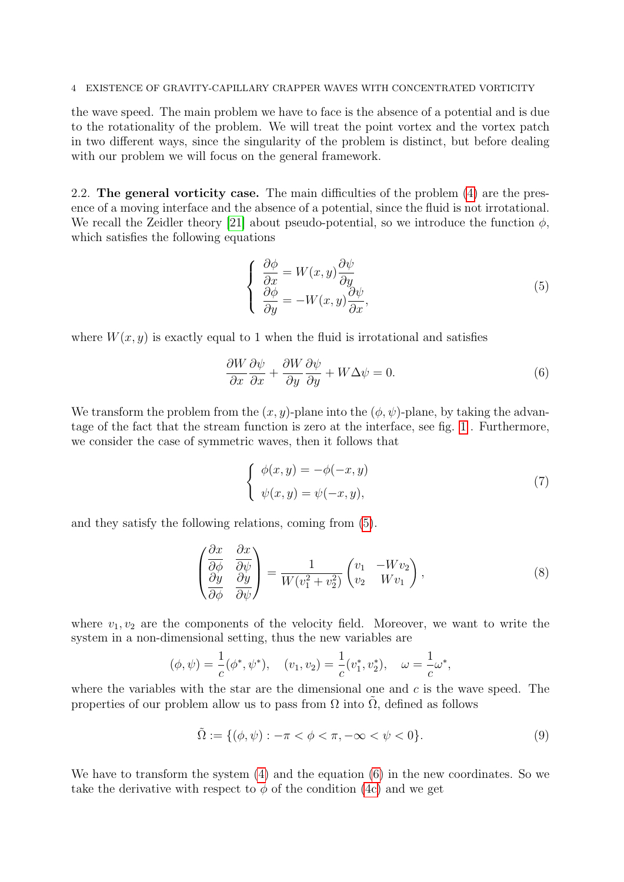### 4 EXISTENCE OF GRAVITY-CAPILLARY CRAPPER WAVES WITH CONCENTRATED VORTICITY

the wave speed. The main problem we have to face is the absence of a potential and is due to the rotationality of the problem. We will treat the point vortex and the vortex patch in two different ways, since the singularity of the problem is distinct, but before dealing with our problem we will focus on the general framework.

<span id="page-3-2"></span>2.2. The general vorticity case. The main difficulties of the problem [\(4\)](#page-2-3) are the presence of a moving interface and the absence of a potential, since the fluid is not irrotational. We recall the Zeidler theory [\[21\]](#page-33-13) about pseudo-potential, so we introduce the function  $\phi$ , which satisfies the following equations

<span id="page-3-1"></span><span id="page-3-0"></span>
$$
\begin{cases}\n\frac{\partial \phi}{\partial x} = W(x, y) \frac{\partial \psi}{\partial y} \\
\frac{\partial \phi}{\partial y} = -W(x, y) \frac{\partial \psi}{\partial x},\n\end{cases}
$$
\n(5)

where  $W(x, y)$  is exactly equal to 1 when the fluid is irrotational and satisfies

$$
\frac{\partial W}{\partial x}\frac{\partial \psi}{\partial x} + \frac{\partial W}{\partial y}\frac{\partial \psi}{\partial y} + W\Delta \psi = 0.
$$
\n(6)

We transform the problem from the  $(x, y)$ -plane into the  $(\phi, \psi)$ -plane, by taking the advantage of the fact that the stream function is zero at the interface, see fig. [1](#page-4-0) . Furthermore, we consider the case of symmetric waves, then it follows that

<span id="page-3-4"></span><span id="page-3-3"></span>
$$
\begin{cases}\n\phi(x,y) = -\phi(-x,y) \\
\psi(x,y) = \psi(-x,y),\n\end{cases}
$$
\n(7)

and they satisfy the following relations, coming from [\(5\)](#page-3-0).

$$
\begin{pmatrix}\n\frac{\partial x}{\partial \phi} & \frac{\partial x}{\partial \psi} \\
\frac{\partial y}{\partial \phi} & \frac{\partial y}{\partial \psi}\n\end{pmatrix} = \frac{1}{W(v_1^2 + v_2^2)} \begin{pmatrix} v_1 & -Wv_2 \\ v_2 & Wv_1 \end{pmatrix},
$$
\n(8)

where  $v_1, v_2$  are the components of the velocity field. Moreover, we want to write the system in a non-dimensional setting, thus the new variables are

$$
(\phi, \psi) = \frac{1}{c}(\phi^*, \psi^*), \quad (v_1, v_2) = \frac{1}{c}(v_1^*, v_2^*), \quad \omega = \frac{1}{c}\omega^*,
$$

where the variables with the star are the dimensional one and  $c$  is the wave speed. The properties of our problem allow us to pass from  $\Omega$  into  $\Omega$ , defined as follows

$$
\tilde{\Omega} := \{ (\phi, \psi) : -\pi < \phi < \pi, -\infty < \psi < 0 \}. \tag{9}
$$

We have to transform the system [\(4\)](#page-2-3) and the equation [\(6\)](#page-3-1) in the new coordinates. So we take the derivative with respect to  $\phi$  of the condition [\(4c\)](#page-2-4) and we get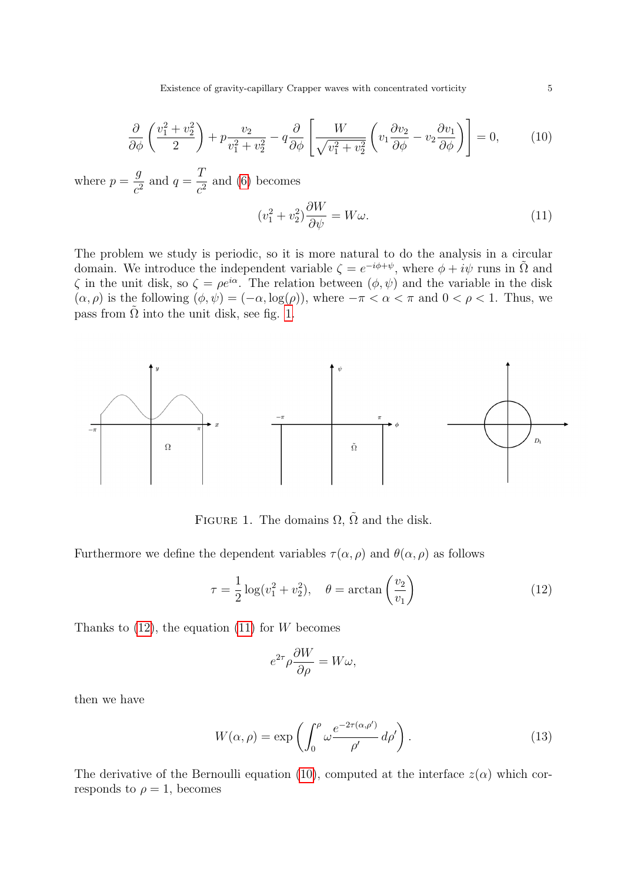$$
\frac{\partial}{\partial \phi} \left( \frac{v_1^2 + v_2^2}{2} \right) + p \frac{v_2}{v_1^2 + v_2^2} - q \frac{\partial}{\partial \phi} \left[ \frac{W}{\sqrt{v_1^2 + v_2^2}} \left( v_1 \frac{\partial v_2}{\partial \phi} - v_2 \frac{\partial v_1}{\partial \phi} \right) \right] = 0, \quad (10)
$$

where  $p =$ g  $\frac{g}{c^2}$  and  $q=$ T  $\frac{1}{c^2}$  and [\(6\)](#page-3-1) becomes

<span id="page-4-3"></span><span id="page-4-2"></span>
$$
(v_1^2 + v_2^2)\frac{\partial W}{\partial \psi} = W\omega.
$$
\n(11)

The problem we study is periodic, so it is more natural to do the analysis in a circular domain. We introduce the independent variable  $\zeta = e^{-i\phi + \psi}$ , where  $\phi + i\psi$  runs in  $\tilde{\Omega}$  and  $\zeta$  in the unit disk, so  $\zeta = \rho e^{i\alpha}$ . The relation between  $(\phi, \psi)$  and the variable in the disk  $(\alpha, \rho)$  is the following  $(\phi, \psi) = (-\alpha, \log(\rho))$ , where  $-\pi < \alpha < \pi$  and  $0 < \rho < 1$ . Thus, we pass from  $\tilde{\Omega}$  into the unit disk, see fig. [1.](#page-4-0)



<span id="page-4-0"></span>FIGURE 1. The domains  $\Omega$ ,  $\tilde{\Omega}$  and the disk.

Furthermore we define the dependent variables  $\tau(\alpha, \rho)$  and  $\theta(\alpha, \rho)$  as follows

$$
\tau = \frac{1}{2}\log(v_1^2 + v_2^2), \quad \theta = \arctan\left(\frac{v_2}{v_1}\right) \tag{12}
$$

Thanks to  $(12)$ , the equation  $(11)$  for W becomes

<span id="page-4-4"></span><span id="page-4-1"></span>
$$
e^{2\tau}\rho \frac{\partial W}{\partial \rho} = W\omega,
$$

then we have

$$
W(\alpha, \rho) = \exp\left(\int_0^{\rho} \omega \frac{e^{-2\tau(\alpha, \rho')}}{\rho'} d\rho'\right).
$$
 (13)

The derivative of the Bernoulli equation [\(10\)](#page-4-3), computed at the interface  $z(\alpha)$  which corresponds to  $\rho = 1$ , becomes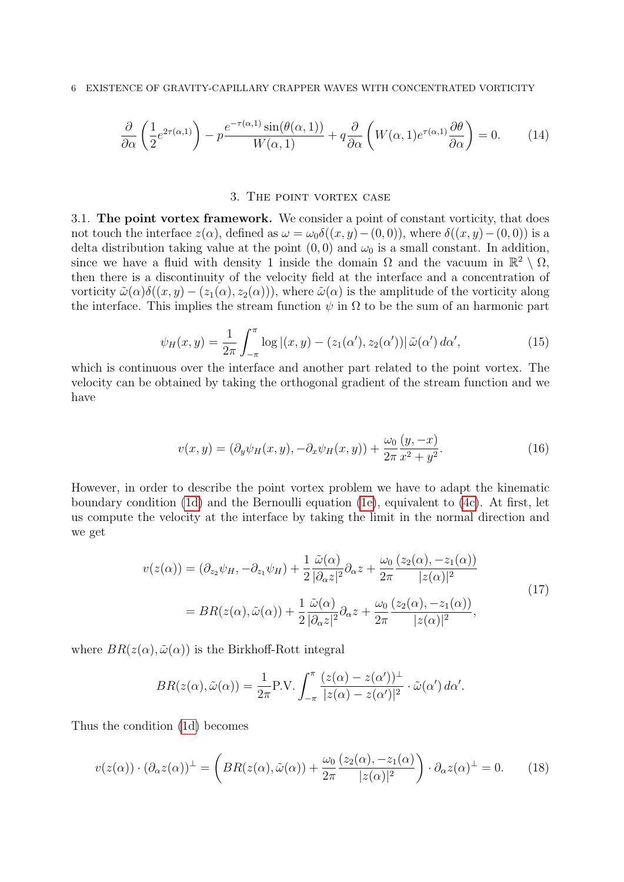$$
\frac{\partial}{\partial \alpha} \left( \frac{1}{2} e^{2\tau(\alpha,1)} \right) - p \frac{e^{-\tau(\alpha,1)} \sin(\theta(\alpha,1))}{W(\alpha,1)} + q \frac{\partial}{\partial \alpha} \left( W(\alpha,1) e^{\tau(\alpha,1)} \frac{\partial \theta}{\partial \alpha} \right) = 0. \tag{14}
$$

### <span id="page-5-3"></span><span id="page-5-1"></span>3. The point vortex case

<span id="page-5-0"></span>3.1. The point vortex framework. We consider a point of constant vorticity, that does not touch the interface  $z(\alpha)$ , defined as  $\omega = \omega_0 \delta((x, y) - (0, 0))$ , where  $\delta((x, y) - (0, 0))$  is a delta distribution taking value at the point  $(0, 0)$  and  $\omega_0$  is a small constant. In addition, since we have a fluid with density 1 inside the domain  $\Omega$  and the vacuum in  $\mathbb{R}^2 \setminus \Omega$ , then there is a discontinuity of the velocity field at the interface and a concentration of vorticity  $\tilde{\omega}(\alpha)\delta((x,y)-(z_1(\alpha),z_2(\alpha)))$ , where  $\tilde{\omega}(\alpha)$  is the amplitude of the vorticity along the interface. This implies the stream function  $\psi$  in  $\Omega$  to be the sum of an harmonic part

$$
\psi_H(x,y) = \frac{1}{2\pi} \int_{-\pi}^{\pi} \log|(x,y) - (z_1(\alpha'), z_2(\alpha')) |\tilde{\omega}(\alpha') d\alpha', \tag{15}
$$

which is continuous over the interface and another part related to the point vortex. The velocity can be obtained by taking the orthogonal gradient of the stream function and we have

$$
v(x,y) = (\partial_y \psi_H(x,y), -\partial_x \psi_H(x,y)) + \frac{\omega_0}{2\pi} \frac{(y,-x)}{x^2 + y^2}.
$$
 (16)

However, in order to describe the point vortex problem we have to adapt the kinematic boundary condition [\(1d\)](#page-0-2) and the Bernoulli equation [\(1e\)](#page-0-4), equivalent to [\(4c\)](#page-2-4). At first, let us compute the velocity at the interface by taking the limit in the normal direction and we get

$$
v(z(\alpha)) = (\partial_{z_2}\psi_H, -\partial_{z_1}\psi_H) + \frac{1}{2} \frac{\tilde{\omega}(\alpha)}{|\partial_{\alpha}z|^2} \partial_{\alpha}z + \frac{\omega_0}{2\pi} \frac{(z_2(\alpha), -z_1(\alpha))}{|z(\alpha)|^2}
$$
  
= 
$$
BR(z(\alpha), \tilde{\omega}(\alpha)) + \frac{1}{2} \frac{\tilde{\omega}(\alpha)}{|\partial_{\alpha}z|^2} \partial_{\alpha}z + \frac{\omega_0}{2\pi} \frac{(z_2(\alpha), -z_1(\alpha))}{|z(\alpha)|^2},
$$
(17)

where  $BR(z(\alpha), \tilde{\omega}(\alpha))$  is the Birkhoff-Rott integral

<span id="page-5-2"></span>
$$
BR(z(\alpha), \tilde{\omega}(\alpha)) = \frac{1}{2\pi} P.V. \int_{-\pi}^{\pi} \frac{(z(\alpha) - z(\alpha'))^{\perp}}{|z(\alpha) - z(\alpha')|^2} \cdot \tilde{\omega}(\alpha') d\alpha'.
$$

Thus the condition [\(1d\)](#page-0-2) becomes

$$
v(z(\alpha)) \cdot (\partial_{\alpha} z(\alpha))^{\perp} = \left( BR(z(\alpha), \tilde{\omega}(\alpha)) + \frac{\omega_0}{2\pi} \frac{(z_2(\alpha), -z_1(\alpha))}{|z(\alpha)|^2} \right) \cdot \partial_{\alpha} z(\alpha)^{\perp} = 0. \tag{18}
$$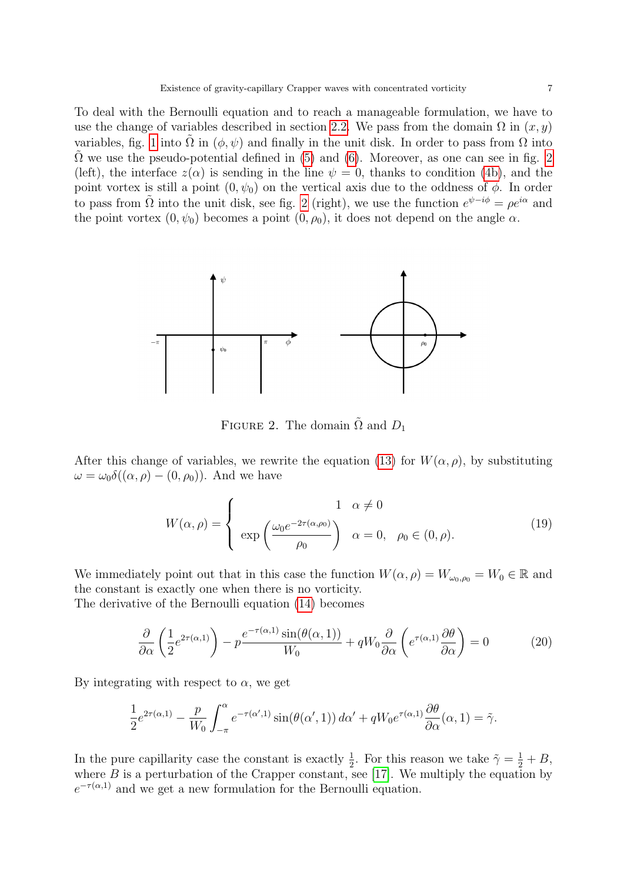To deal with the Bernoulli equation and to reach a manageable formulation, we have to use the change of variables described in section [2.2.](#page-3-2) We pass from the domain  $\Omega$  in  $(x, y)$ variables, fig. [1](#page-4-0) into  $\Omega$  in  $(\phi, \psi)$  and finally in the unit disk. In order to pass from  $\Omega$  into  $\Omega$  we use the pseudo-potential defined in [\(5\)](#page-3-0) and [\(6\)](#page-3-1). Moreover, as one can see in fig. [2](#page-6-0) (left), the interface  $z(\alpha)$  is sending in the line  $\psi = 0$ , thanks to condition [\(4b\)](#page-2-5), and the point vortex is still a point  $(0, \psi_0)$  on the vertical axis due to the oddness of  $\phi$ . In order to pass from  $\tilde{\Omega}$  into the unit disk, see fig. [2](#page-6-0) (right), we use the function  $e^{\psi - i\phi} = \rho e^{i\alpha}$  and the point vortex  $(0, \psi_0)$  becomes a point  $(0, \rho_0)$ , it does not depend on the angle  $\alpha$ .



<span id="page-6-0"></span>FIGURE 2. The domain  $\Omega$  and  $D_1$ 

After this change of variables, we rewrite the equation [\(13\)](#page-4-4) for  $W(\alpha, \rho)$ , by substituting  $\omega = \omega_0 \delta((\alpha, \rho) - (0, \rho_0))$ . And we have

$$
W(\alpha, \rho) = \begin{cases} 1 & \alpha \neq 0 \\ \exp\left(\frac{\omega_0 e^{-2\tau(\alpha, \rho_0)}}{\rho_0}\right) & \alpha = 0, \quad \rho_0 \in (0, \rho). \end{cases}
$$
(19)

We immediately point out that in this case the function  $W(\alpha, \rho) = W_{\omega_0, \rho_0} = W_0 \in \mathbb{R}$  and the constant is exactly one when there is no vorticity.

The derivative of the Bernoulli equation [\(14\)](#page-5-1) becomes

$$
\frac{\partial}{\partial \alpha} \left( \frac{1}{2} e^{2\tau(\alpha,1)} \right) - p \frac{e^{-\tau(\alpha,1)} \sin(\theta(\alpha,1))}{W_0} + q W_0 \frac{\partial}{\partial \alpha} \left( e^{\tau(\alpha,1)} \frac{\partial \theta}{\partial \alpha} \right) = 0 \tag{20}
$$

By integrating with respect to  $\alpha$ , we get

$$
\frac{1}{2}e^{2\tau(\alpha,1)} - \frac{p}{W_0} \int_{-\pi}^{\alpha} e^{-\tau(\alpha',1)} \sin(\theta(\alpha',1)) \, d\alpha' + qW_0 e^{\tau(\alpha,1)} \frac{\partial \theta}{\partial \alpha}(\alpha,1) = \tilde{\gamma}.
$$

In the pure capillarity case the constant is exactly  $\frac{1}{2}$ . For this reason we take  $\tilde{\gamma} = \frac{1}{2} + B$ , where  $B$  is a perturbation of the Crapper constant, see [\[17\]](#page-33-12). We multiply the equation by  $e^{-\tau(\alpha,1)}$  and we get a new formulation for the Bernoulli equation.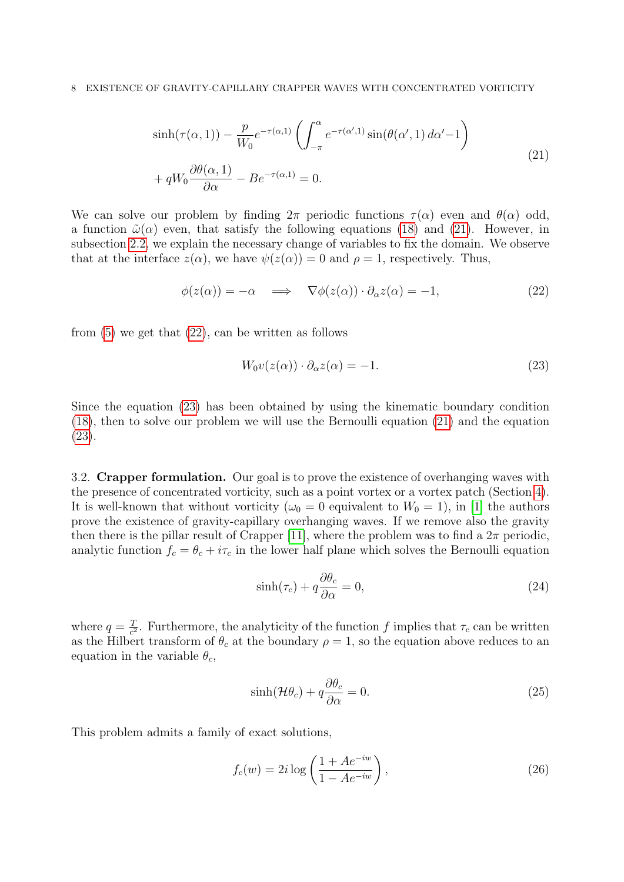### 8 EXISTENCE OF GRAVITY-CAPILLARY CRAPPER WAVES WITH CONCENTRATED VORTICITY

$$
\sinh(\tau(\alpha, 1)) - \frac{p}{W_0} e^{-\tau(\alpha, 1)} \left( \int_{-\pi}^{\alpha} e^{-\tau(\alpha', 1)} \sin(\theta(\alpha', 1) d\alpha' - 1) \right)
$$
  
+ 
$$
qW_0 \frac{\partial \theta(\alpha, 1)}{\partial \alpha} - Be^{-\tau(\alpha, 1)} = 0.
$$
 (21)

We can solve our problem by finding  $2\pi$  periodic functions  $\tau(\alpha)$  even and  $\theta(\alpha)$  odd, a function  $\tilde{\omega}(\alpha)$  even, that satisfy the following equations [\(18\)](#page-5-2) and [\(21\)](#page-7-0). However, in subsection [2.2,](#page-3-2) we explain the necessary change of variables to fix the domain. We observe that at the interface  $z(\alpha)$ , we have  $\psi(z(\alpha)) = 0$  and  $\rho = 1$ , respectively. Thus,

$$
\phi(z(\alpha)) = -\alpha \quad \Longrightarrow \quad \nabla \phi(z(\alpha)) \cdot \partial_{\alpha} z(\alpha) = -1,\tag{22}
$$

from  $(5)$  we get that  $(22)$ , can be written as follows

<span id="page-7-2"></span><span id="page-7-1"></span><span id="page-7-0"></span>
$$
W_0 v(z(\alpha)) \cdot \partial_{\alpha} z(\alpha) = -1. \tag{23}
$$

Since the equation [\(23\)](#page-7-2) has been obtained by using the kinematic boundary condition [\(18\)](#page-5-2), then to solve our problem we will use the Bernoulli equation [\(21\)](#page-7-0) and the equation [\(23\)](#page-7-2).

3.2. Crapper formulation. Our goal is to prove the existence of overhanging waves with the presence of concentrated vorticity, such as a point vortex or a vortex patch (Section [4\)](#page-16-0). It is well-known that without vorticity ( $\omega_0 = 0$  equivalent to  $W_0 = 1$ ), in [\[1\]](#page-32-0) the authors prove the existence of gravity-capillary overhanging waves. If we remove also the gravity then there is the pillar result of Crapper [\[11\]](#page-33-0), where the problem was to find a  $2\pi$  periodic, analytic function  $f_c = \theta_c + i\tau_c$  in the lower half plane which solves the Bernoulli equation

<span id="page-7-5"></span>
$$
\sinh(\tau_c) + q \frac{\partial \theta_c}{\partial \alpha} = 0,\tag{24}
$$

where  $q = \frac{q}{c^2}$  $\frac{T}{c^2}$ . Furthermore, the analyticity of the function f implies that  $\tau_c$  can be written as the Hilbert transform of  $\theta_c$  at the boundary  $\rho = 1$ , so the equation above reduces to an equation in the variable  $\theta_c$ ,

<span id="page-7-4"></span><span id="page-7-3"></span>
$$
\sinh(\mathcal{H}\theta_c) + q\frac{\partial \theta_c}{\partial \alpha} = 0.
$$
\n(25)

This problem admits a family of exact solutions,

$$
f_c(w) = 2i \log \left( \frac{1 + Ae^{-iw}}{1 - Ae^{-iw}} \right),\tag{26}
$$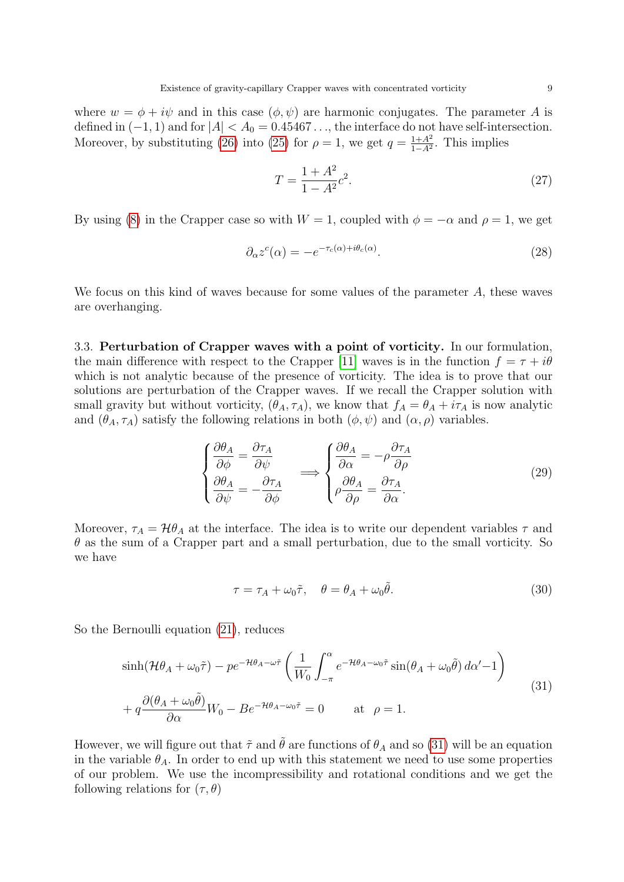where  $w = \phi + i\psi$  and in this case  $(\phi, \psi)$  are harmonic conjugates. The parameter A is defined in  $(-1, 1)$  and for  $|A| < A_0 = 0.45467...$ , the interface do not have self-intersection. Moreover, by substituting [\(26\)](#page-7-3) into [\(25\)](#page-7-4) for  $\rho = 1$ , we get  $q = \frac{1+A^2}{1-A^2}$  $\frac{1+A^2}{1-A^2}$ . This implies

<span id="page-8-3"></span>
$$
T = \frac{1 + A^2}{1 - A^2} c^2.
$$
\n(27)

By using [\(8\)](#page-3-3) in the Crapper case so with  $W = 1$ , coupled with  $\phi = -\alpha$  and  $\rho = 1$ , we get

$$
\partial_{\alpha} z^{c}(\alpha) = -e^{-\tau_{c}(\alpha) + i\theta_{c}(\alpha)}.
$$
\n(28)

We focus on this kind of waves because for some values of the parameter A, these waves are overhanging.

3.3. Perturbation of Crapper waves with a point of vorticity. In our formulation, the main difference with respect to the Crapper [\[11\]](#page-33-0) waves is in the function  $f = \tau + i\theta$ which is not analytic because of the presence of vorticity. The idea is to prove that our solutions are perturbation of the Crapper waves. If we recall the Crapper solution with small gravity but without vorticity,  $(\theta_A, \tau_A)$ , we know that  $f_A = \theta_A + i\tau_A$  is now analytic and  $(\theta_A, \tau_A)$  satisfy the following relations in both  $(\phi, \psi)$  and  $(\alpha, \rho)$  variables.

$$
\begin{cases}\n\frac{\partial \theta_A}{\partial \phi} = \frac{\partial \tau_A}{\partial \psi} \\
\frac{\partial \theta_A}{\partial \psi} = -\frac{\partial \tau_A}{\partial \phi}\n\end{cases} \implies\n\begin{cases}\n\frac{\partial \theta_A}{\partial \alpha} = -\rho \frac{\partial \tau_A}{\partial \rho} \\
\rho \frac{\partial \theta_A}{\partial \rho} = \frac{\partial \tau_A}{\partial \alpha}.\n\end{cases}
$$
\n(29)

Moreover,  $\tau_A = \mathcal{H} \theta_A$  at the interface. The idea is to write our dependent variables  $\tau$  and  $\theta$  as the sum of a Crapper part and a small perturbation, due to the small vorticity. So we have

<span id="page-8-2"></span><span id="page-8-1"></span><span id="page-8-0"></span>
$$
\tau = \tau_A + \omega_0 \tilde{\tau}, \quad \theta = \theta_A + \omega_0 \tilde{\theta}.\tag{30}
$$

So the Bernoulli equation [\(21\)](#page-7-0), reduces

$$
\sinh(\mathcal{H}\theta_A + \omega_0 \tilde{\tau}) - p e^{-\mathcal{H}\theta_A - \omega \tilde{\tau}} \left( \frac{1}{W_0} \int_{-\pi}^{\alpha} e^{-\mathcal{H}\theta_A - \omega_0 \tilde{\tau}} \sin(\theta_A + \omega_0 \tilde{\theta}) d\alpha' - 1 \right)
$$
  
+  $q \frac{\partial(\theta_A + \omega_0 \tilde{\theta})}{\partial \alpha} W_0 - B e^{-\mathcal{H}\theta_A - \omega_0 \tilde{\tau}} = 0$  at  $\rho = 1$ . (31)

However, we will figure out that  $\tilde{\tau}$  and  $\theta$  are functions of  $\theta_A$  and so [\(31\)](#page-8-0) will be an equation in the variable  $\theta_A$ . In order to end up with this statement we need to use some properties of our problem. We use the incompressibility and rotational conditions and we get the following relations for  $(\tau, \theta)$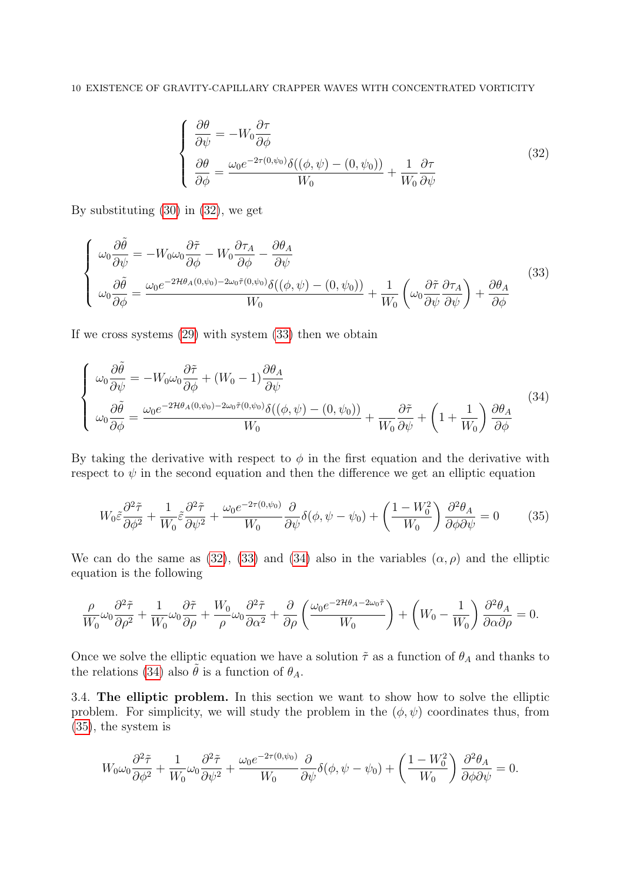### 10 EXISTENCE OF GRAVITY-CAPILLARY CRAPPER WAVES WITH CONCENTRATED VORTICITY

<span id="page-9-2"></span><span id="page-9-1"></span><span id="page-9-0"></span>
$$
\begin{cases}\n\frac{\partial \theta}{\partial \psi} = -W_0 \frac{\partial \tau}{\partial \phi} \\
\frac{\partial \theta}{\partial \phi} = \frac{\omega_0 e^{-2\tau (0, \psi_0)} \delta((\phi, \psi) - (0, \psi_0))}{W_0} + \frac{1}{W_0} \frac{\partial \tau}{\partial \psi}\n\end{cases}
$$
\n(32)

By substituting [\(30\)](#page-8-1) in [\(32\)](#page-9-0), we get

$$
\begin{cases}\n\omega_0 \frac{\partial \tilde{\theta}}{\partial \psi} = -W_0 \omega_0 \frac{\partial \tilde{\tau}}{\partial \phi} - W_0 \frac{\partial \tau_A}{\partial \phi} - \frac{\partial \theta_A}{\partial \psi} \\
\omega_0 \frac{\partial \tilde{\theta}}{\partial \phi} = \frac{\omega_0 e^{-2\mathcal{H}\theta_A(0,\psi_0) - 2\omega_0 \tilde{\tau}(0,\psi_0)} \delta((\phi, \psi) - (0, \psi_0))}{W_0} + \frac{1}{W_0} \left(\omega_0 \frac{\partial \tilde{\tau}}{\partial \psi} \frac{\partial \tau_A}{\partial \psi}\right) + \frac{\partial \theta_A}{\partial \phi}\n\end{cases}
$$
\n(33)

If we cross systems [\(29\)](#page-8-2) with system [\(33\)](#page-9-1) then we obtain

$$
\begin{cases}\n\omega_0 \frac{\partial \tilde{\theta}}{\partial \psi} = -W_0 \omega_0 \frac{\partial \tilde{\tau}}{\partial \phi} + (W_0 - 1) \frac{\partial \theta_A}{\partial \psi} \\
\omega_0 \frac{\partial \tilde{\theta}}{\partial \phi} = \frac{\omega_0 e^{-2\mathcal{H}\theta_A(0,\psi_0) - 2\omega_0 \tilde{\tau}(0,\psi_0)} \delta((\phi, \psi) - (0, \psi_0))}{W_0} + \frac{\partial \tilde{\tau}}{W_0 \partial \psi} + \left(1 + \frac{1}{W_0}\right) \frac{\partial \theta_A}{\partial \phi}\n\end{cases}
$$
\n(34)

By taking the derivative with respect to  $\phi$  in the first equation and the derivative with respect to  $\psi$  in the second equation and then the difference we get an elliptic equation

<span id="page-9-3"></span>
$$
W_0 \tilde{\varepsilon} \frac{\partial^2 \tilde{\tau}}{\partial \phi^2} + \frac{1}{W_0} \tilde{\varepsilon} \frac{\partial^2 \tilde{\tau}}{\partial \psi^2} + \frac{\omega_0 e^{-2\tau(0,\psi_0)}}{W_0} \frac{\partial}{\partial \psi} \delta(\phi, \psi - \psi_0) + \left(\frac{1 - W_0^2}{W_0}\right) \frac{\partial^2 \theta_A}{\partial \phi \partial \psi} = 0 \tag{35}
$$

We can do the same as [\(32\)](#page-9-0), [\(33\)](#page-9-1) and [\(34\)](#page-9-2) also in the variables  $(\alpha, \rho)$  and the elliptic equation is the following

$$
\frac{\rho}{W_0}\omega_0\frac{\partial^2 \tilde{\tau}}{\partial \rho^2} + \frac{1}{W_0}\omega_0\frac{\partial \tilde{\tau}}{\partial \rho} + \frac{W_0}{\rho}\omega_0\frac{\partial^2 \tilde{\tau}}{\partial \alpha^2} + \frac{\partial}{\partial \rho}\left(\frac{\omega_0 e^{-2\mathcal{H}\theta_A - 2\omega_0\tilde{\tau}}}{W_0}\right) + \left(W_0 - \frac{1}{W_0}\right)\frac{\partial^2 \theta_A}{\partial \alpha \partial \rho} = 0.
$$

Once we solve the elliptic equation we have a solution  $\tilde{\tau}$  as a function of  $\theta_A$  and thanks to the relations [\(34\)](#page-9-2) also  $\tilde{\theta}$  is a function of  $\theta_A$ .

3.4. The elliptic problem. In this section we want to show how to solve the elliptic problem. For simplicity, we will study the problem in the  $(\phi, \psi)$  coordinates thus, from [\(35\)](#page-9-3), the system is

$$
W_0 \omega_0 \frac{\partial^2 \tilde{\tau}}{\partial \phi^2} + \frac{1}{W_0} \omega_0 \frac{\partial^2 \tilde{\tau}}{\partial \psi^2} + \frac{\omega_0 e^{-2\tau(0, \psi_0)}}{W_0} \frac{\partial}{\partial \psi} \delta(\phi, \psi - \psi_0) + \left(\frac{1 - W_0^2}{W_0}\right) \frac{\partial^2 \theta_A}{\partial \phi \partial \psi} = 0.
$$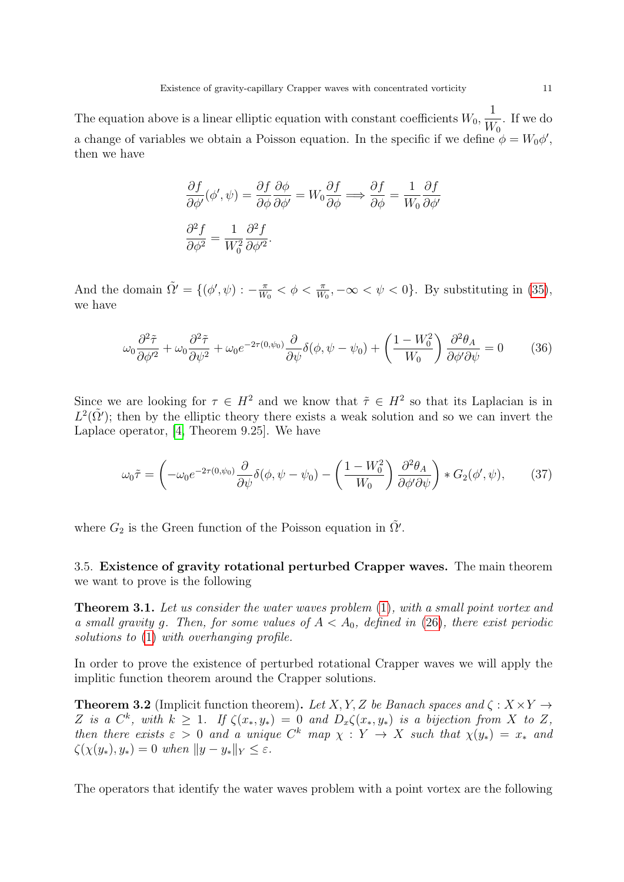The equation above is a linear elliptic equation with constant coefficients  $W_0$ , 1  $W_0$ . If we do a change of variables we obtain a Poisson equation. In the specific if we define  $\phi = W_0 \phi'$ , then we have

$$
\frac{\partial f}{\partial \phi'}(\phi', \psi) = \frac{\partial f}{\partial \phi} \frac{\partial \phi}{\partial \phi'} = W_0 \frac{\partial f}{\partial \phi} \Longrightarrow \frac{\partial f}{\partial \phi} = \frac{1}{W_0} \frac{\partial f}{\partial \phi'}
$$

$$
\frac{\partial^2 f}{\partial \phi^2} = \frac{1}{W_0^2} \frac{\partial^2 f}{\partial \phi'^2}.
$$

And the domain  $\tilde{\Omega}' = \{(\phi', \psi) : -\frac{\pi}{W}\}$  $\frac{\pi}{W_0} < \phi < \frac{\pi}{W_0}, -\infty < \psi < 0$ . By substituting in [\(35\)](#page-9-3), we have

$$
\omega_0 \frac{\partial^2 \tilde{\tau}}{\partial \phi'^2} + \omega_0 \frac{\partial^2 \tilde{\tau}}{\partial \psi^2} + \omega_0 e^{-2\tau(0,\psi_0)} \frac{\partial}{\partial \psi} \delta(\phi, \psi - \psi_0) + \left(\frac{1 - W_0^2}{W_0}\right) \frac{\partial^2 \theta_A}{\partial \phi' \partial \psi} = 0 \tag{36}
$$

Since we are looking for  $\tau \in H^2$  and we know that  $\tilde{\tau} \in H^2$  so that its Laplacian is in  $L^2(\tilde{\Omega}')$ ; then by the elliptic theory there exists a weak solution and so we can invert the Laplace operator, [\[4,](#page-32-5) Theorem 9.25]. We have

<span id="page-10-1"></span>
$$
\omega_0 \tilde{\tau} = \left( -\omega_0 e^{-2\tau(0,\psi_0)} \frac{\partial}{\partial \psi} \delta(\phi, \psi - \psi_0) - \left( \frac{1 - W_0^2}{W_0} \right) \frac{\partial^2 \theta_A}{\partial \phi' \partial \psi} \right) * G_2(\phi', \psi), \tag{37}
$$

where  $G_2$  is the Green function of the Poisson equation in  $\tilde{\Omega}'$ .

3.5. Existence of gravity rotational perturbed Crapper waves. The main theorem we want to prove is the following

<span id="page-10-0"></span>**Theorem 3.1.** Let us consider the water waves problem [\(1\)](#page-0-0), with a small point vortex and a small gravity g. Then, for some values of  $A < A_0$ , defined in [\(26\)](#page-7-3), there exist periodic solutions to  $(1)$  with overhanging profile.

In order to prove the existence of perturbed rotational Crapper waves we will apply the implitic function theorem around the Crapper solutions.

<span id="page-10-2"></span>**Theorem 3.2** (Implicit function theorem). Let X, Y, Z be Banach spaces and  $\zeta : X \times Y \to Y$ Z is a  $C^k$ , with  $k \geq 1$ . If  $\zeta(x_*, y_*) = 0$  and  $D_x \zeta(x_*, y_*)$  is a bijection from X to Z, then there exists  $\varepsilon > 0$  and a unique  $C^k$  map  $\chi : Y \to X$  such that  $\chi(y_*) = x_*$  and  $\zeta(\chi(y_*), y_*) = 0$  when  $||y - y_*||_Y \leq \varepsilon$ .

<span id="page-10-3"></span>The operators that identify the water waves problem with a point vortex are the following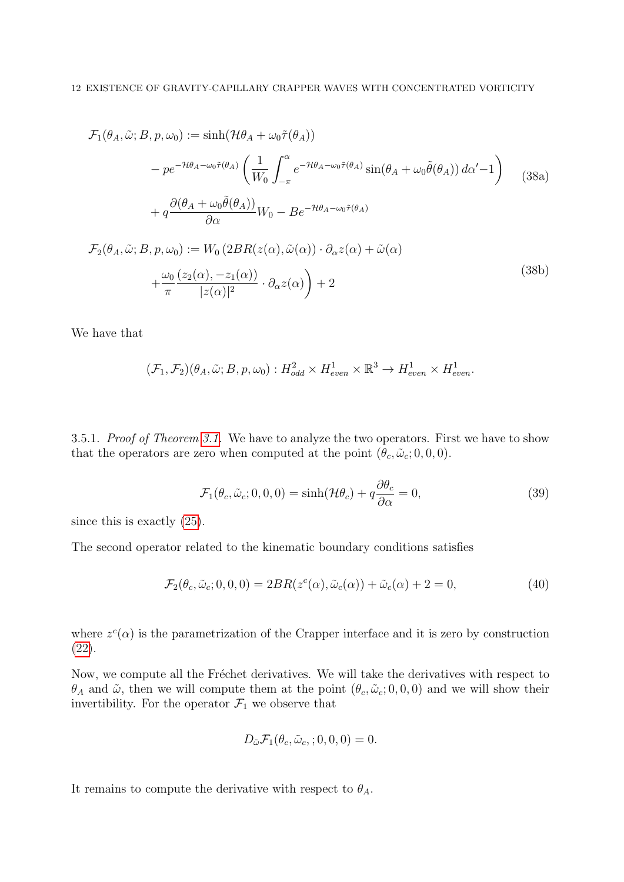$$
\mathcal{F}_{1}(\theta_{A}, \tilde{\omega}; B, p, \omega_{0}) := \sinh(\mathcal{H}\theta_{A} + \omega_{0}\tilde{\tau}(\theta_{A}))
$$
\n
$$
- p e^{-\mathcal{H}\theta_{A} - \omega_{0}\tilde{\tau}(\theta_{A})} \left( \frac{1}{W_{0}} \int_{-\pi}^{\alpha} e^{-\mathcal{H}\theta_{A} - \omega_{0}\tilde{\tau}(\theta_{A})} \sin(\theta_{A} + \omega_{0}\tilde{\theta}(\theta_{A})) d\alpha' - 1 \right)
$$
\n
$$
+ q \frac{\partial(\theta_{A} + \omega_{0}\tilde{\theta}(\theta_{A}))}{\partial \alpha} W_{0} - B e^{-\mathcal{H}\theta_{A} - \omega_{0}\tilde{\tau}(\theta_{A})}
$$
\n
$$
\mathcal{F}_{2}(\theta_{A}, \tilde{\omega}; B, p, \omega_{0}) := W_{0} \left( 2BR(z(\alpha), \tilde{\omega}(\alpha)) \cdot \partial_{\alpha} z(\alpha) + \tilde{\omega}(\alpha) \right)
$$
\n
$$
+ \frac{\omega_{0}}{\pi} \frac{(z_{2}(\alpha), -z_{1}(\alpha))}{|z(\alpha)|^{2}} \cdot \partial_{\alpha} z(\alpha) + 2 \tag{38b}
$$

We have that

$$
(\mathcal{F}_1, \mathcal{F}_2)(\theta_A, \tilde{\omega}; B, p, \omega_0): H^2_{odd} \times H^1_{even} \times \mathbb{R}^3 \to H^1_{even} \times H^1_{even}.
$$

<span id="page-11-0"></span>3.5.1. Proof of Theorem [3.1.](#page-10-0) We have to analyze the two operators. First we have to show that the operators are zero when computed at the point  $(\theta_c, \tilde{\omega}_c; 0, 0, 0)$ .

$$
\mathcal{F}_1(\theta_c, \tilde{\omega}_c; 0, 0, 0) = \sinh(\mathcal{H}\theta_c) + q \frac{\partial \theta_c}{\partial \alpha} = 0,
$$
\n(39)

since this is exactly [\(25\)](#page-7-4).

The second operator related to the kinematic boundary conditions satisfies

$$
\mathcal{F}_2(\theta_c, \tilde{\omega}_c; 0, 0, 0) = 2BR(z^c(\alpha), \tilde{\omega}_c(\alpha)) + \tilde{\omega}_c(\alpha) + 2 = 0,
$$
\n(40)

where  $z^c(\alpha)$  is the parametrization of the Crapper interface and it is zero by construction [\(22\)](#page-7-1).

Now, we compute all the Fréchet derivatives. We will take the derivatives with respect to  $\theta_A$  and  $\tilde{\omega}$ , then we will compute them at the point  $(\theta_c, \tilde{\omega}_c; 0, 0, 0)$  and we will show their invertibility. For the operator  $\mathcal{F}_1$  we observe that

$$
D_{\tilde{\omega}} \mathcal{F}_1(\theta_c, \tilde{\omega}_c; 0, 0, 0) = 0.
$$

It remains to compute the derivative with respect to  $\theta_A$ .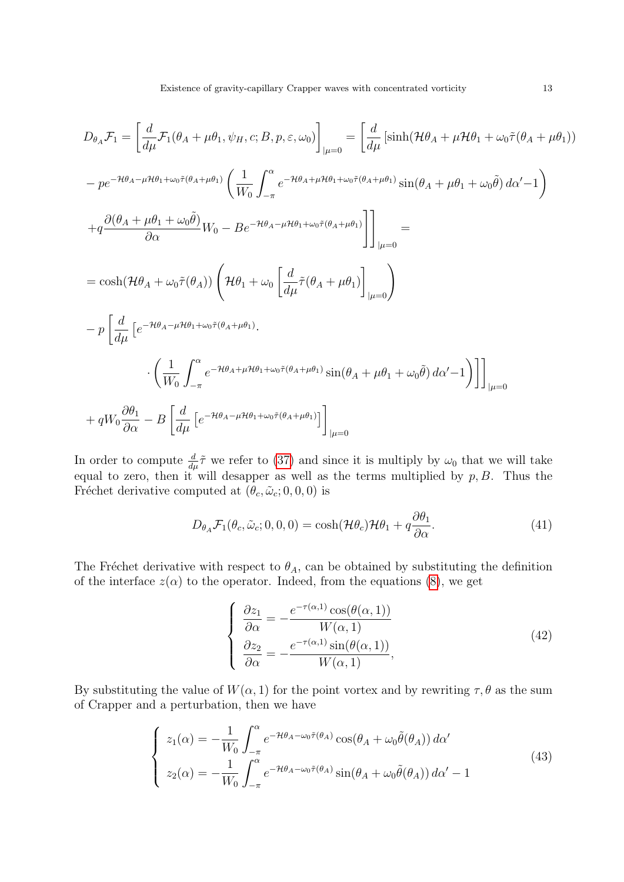$$
D_{\theta_A} \mathcal{F}_1 = \left[ \frac{d}{d\mu} \mathcal{F}_1(\theta_A + \mu\theta_1, \psi_H, c; B, p, \varepsilon, \omega_0) \right]_{|\mu=0} = \left[ \frac{d}{d\mu} \left[ \sinh(\mathcal{H}\theta_A + \mu\mathcal{H}\theta_1 + \omega_0 \tilde{\tau}(\theta_A + \mu\theta_1)) \right]_{|\mu=0} \right]
$$
  
\n
$$
- p e^{-\mathcal{H}\theta_A - \mu\mathcal{H}\theta_1 + \omega_0 \tilde{\tau}(\theta_A + \mu\theta_1)} \left( \frac{1}{W_0} \int_{-\pi}^{\alpha} e^{-\mathcal{H}\theta_A + \mu\mathcal{H}\theta_1 + \omega_0 \tilde{\tau}(\theta_A + \mu\theta_1)} \sin(\theta_A + \mu\theta_1 + \omega_0 \tilde{\theta}) d\alpha' - 1 \right)
$$
  
\n
$$
+ q \frac{\partial(\theta_A + \mu\theta_1 + \omega_0 \tilde{\theta})}{\partial \alpha} W_0 - B e^{-\mathcal{H}\theta_A - \mu\mathcal{H}\theta_1 + \omega_0 \tilde{\tau}(\theta_A + \mu\theta_1)} \right]_{|\mu=0} =
$$
  
\n
$$
= \cosh(\mathcal{H}\theta_A + \omega_0 \tilde{\tau}(\theta_A)) \left( \mathcal{H}\theta_1 + \omega_0 \left[ \frac{d}{d\mu} \tilde{\tau}(\theta_A + \mu\theta_1) \right]_{|\mu=0} \right)
$$
  
\n
$$
- p \left[ \frac{d}{d\mu} \left[ e^{-\mathcal{H}\theta_A - \mu\mathcal{H}\theta_1 + \omega_0 \tilde{\tau}(\theta_A + \mu\theta_1)} \right] \sin(\theta_A + \mu\theta_1 + \omega_0 \tilde{\theta}) d\alpha' - 1 \right] \right]_{|\mu=0} |_{\mu=0}
$$
  
\n
$$
+ q W_0 \frac{\partial \theta_1}{\partial \alpha} - B \left[ \frac{d}{d\mu} \left[ e^{-\mathcal{H}\theta_A - \mu\mathcal{H}\theta_1 + \omega_0 \tilde{\tau}(\theta_A + \mu\theta_1)} \right]_{|\mu=0}
$$

In order to compute  $\frac{d}{d\mu}\tilde{\tau}$  we refer to [\(37\)](#page-10-1) and since it is multiply by  $\omega_0$  that we will take equal to zero, then it will desapper as well as the terms multiplied by  $p, B$ . Thus the Fréchet derivative computed at  $(\theta_c, \tilde{\omega}_c; 0, 0, 0)$  is

$$
D_{\theta_A} \mathcal{F}_1(\theta_c, \tilde{\omega}_c; 0, 0, 0) = \cosh(\mathcal{H}\theta_c)\mathcal{H}\theta_1 + q\frac{\partial \theta_1}{\partial \alpha}.
$$
 (41)

The Fréchet derivative with respect to  $\theta_A$ , can be obtained by substituting the definition of the interface  $z(\alpha)$  to the operator. Indeed, from the equations [\(8\)](#page-3-3), we get

$$
\begin{cases}\n\frac{\partial z_1}{\partial \alpha} = -\frac{e^{-\tau(\alpha,1)} \cos(\theta(\alpha,1))}{W(\alpha,1)} \\
\frac{\partial z_2}{\partial \alpha} = -\frac{e^{-\tau(\alpha,1)} \sin(\theta(\alpha,1))}{W(\alpha,1)},\n\end{cases}
$$
\n(42)

By substituting the value of  $W(\alpha, 1)$  for the point vortex and by rewriting  $\tau, \theta$  as the sum of Crapper and a perturbation, then we have

$$
\begin{cases}\n z_1(\alpha) = -\frac{1}{W_0} \int_{-\pi}^{\alpha} e^{-\mathcal{H}\theta_A - \omega_0 \tilde{\tau}(\theta_A)} \cos(\theta_A + \omega_0 \tilde{\theta}(\theta_A)) \, d\alpha' \\
 z_2(\alpha) = -\frac{1}{W_0} \int_{-\pi}^{\alpha} e^{-\mathcal{H}\theta_A - \omega_0 \tilde{\tau}(\theta_A)} \sin(\theta_A + \omega_0 \tilde{\theta}(\theta_A)) \, d\alpha' - 1\n\end{cases} \tag{43}
$$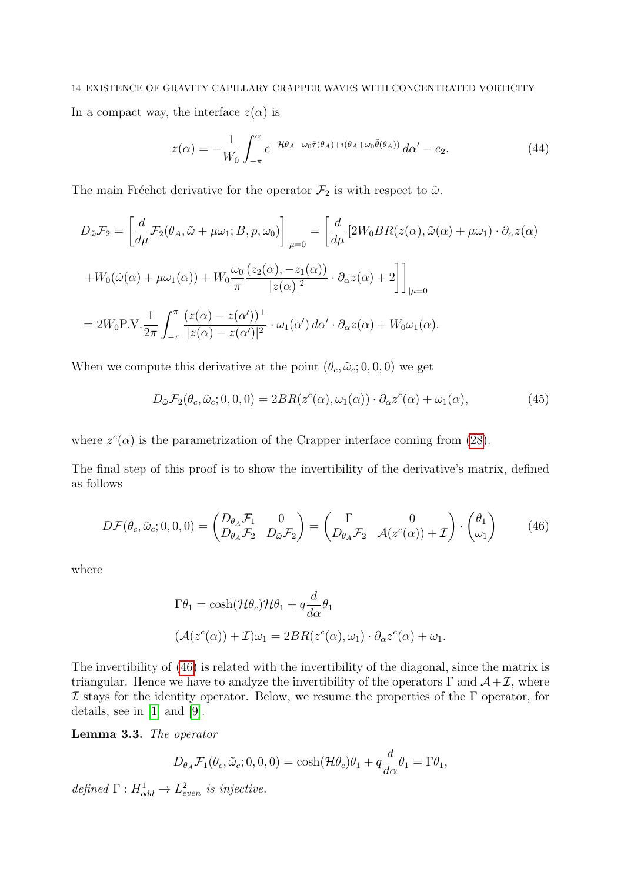# 14 EXISTENCE OF GRAVITY-CAPILLARY CRAPPER WAVES WITH CONCENTRATED VORTICITY In a compact way, the interface  $z(\alpha)$  is

$$
z(\alpha) = -\frac{1}{W_0} \int_{-\pi}^{\alpha} e^{-\mathcal{H}\theta_A - \omega_0 \tilde{\tau}(\theta_A) + i(\theta_A + \omega_0 \tilde{\theta}(\theta_A))} d\alpha' - e_2.
$$
 (44)

The main Fréchet derivative for the operator  $\mathcal{F}_2$  is with respect to  $\tilde{\omega}$ .

$$
D_{\tilde{\omega}}\mathcal{F}_{2} = \left[\frac{d}{d\mu}\mathcal{F}_{2}(\theta_{A}, \tilde{\omega} + \mu\omega_{1}; B, p, \omega_{0})\right]_{|\mu=0} = \left[\frac{d}{d\mu}\left[2W_{0}BR(z(\alpha), \tilde{\omega}(\alpha) + \mu\omega_{1})\cdot\partial_{\alpha}z(\alpha)\right]_{|\mu=0} + W_{0}(\tilde{\omega}(\alpha) + \mu\omega_{1}(\alpha)) + W_{0}\frac{\omega_{0}}{\pi}\frac{(z_{2}(\alpha), -z_{1}(\alpha))}{|z(\alpha)|^{2}}\cdot\partial_{\alpha}z(\alpha) + 2\right]\bigg]_{|\mu=0}
$$
  
= 
$$
2W_{0}P.V.\frac{1}{2\pi}\int_{-\pi}^{\pi}\frac{(z(\alpha)-z(\alpha'))^{\perp}}{|z(\alpha)-z(\alpha')|^{2}}\cdot\omega_{1}(\alpha') d\alpha'\cdot\partial_{\alpha}z(\alpha) + W_{0}\omega_{1}(\alpha).
$$

When we compute this derivative at the point  $(\theta_c, \tilde{\omega}_c; 0, 0, 0)$  we get

$$
D_{\tilde{\omega}}\mathcal{F}_2(\theta_c, \tilde{\omega}_c; 0, 0, 0) = 2BR(z^c(\alpha), \omega_1(\alpha)) \cdot \partial_{\alpha} z^c(\alpha) + \omega_1(\alpha), \tag{45}
$$

where  $z^c(\alpha)$  is the parametrization of the Crapper interface coming from [\(28\)](#page-8-3).

The final step of this proof is to show the invertibility of the derivative's matrix, defined as follows

$$
D\mathcal{F}(\theta_c, \tilde{\omega}_c; 0, 0, 0) = \begin{pmatrix} D_{\theta_A} \mathcal{F}_1 & 0 \\ D_{\theta_A} \mathcal{F}_2 & D_{\tilde{\omega}} \mathcal{F}_2 \end{pmatrix} = \begin{pmatrix} \Gamma & 0 \\ D_{\theta_A} \mathcal{F}_2 & \mathcal{A}(z^c(\alpha)) + \mathcal{I} \end{pmatrix} \cdot \begin{pmatrix} \theta_1 \\ \omega_1 \end{pmatrix}
$$
(46)

where

<span id="page-13-0"></span>
$$
\Gamma \theta_1 = \cosh(\mathcal{H}\theta_c)\mathcal{H}\theta_1 + q \frac{d}{d\alpha} \theta_1
$$
  

$$
(\mathcal{A}(z^c(\alpha)) + \mathcal{I})\omega_1 = 2BR(z^c(\alpha), \omega_1) \cdot \partial_{\alpha} z^c(\alpha) + \omega_1.
$$

The invertibility of [\(46\)](#page-13-0) is related with the invertibility of the diagonal, since the matrix is triangular. Hence we have to analyze the invertibility of the operators  $\Gamma$  and  $\mathcal{A}+\mathcal{I}$ , where  $\mathcal I$  stays for the identity operator. Below, we resume the properties of the  $\Gamma$  operator, for details, see in [\[1\]](#page-32-0) and [\[9\]](#page-33-2).

Lemma 3.3. The operator

$$
D_{\theta_A} \mathcal{F}_1(\theta_c, \tilde{\omega}_c; 0, 0, 0) = \cosh(\mathcal{H}\theta_c)\theta_1 + q\frac{d}{d\alpha}\theta_1 = \Gamma\theta_1,
$$

defined  $\Gamma: H_{odd}^1 \to L_{even}^2$  is injective.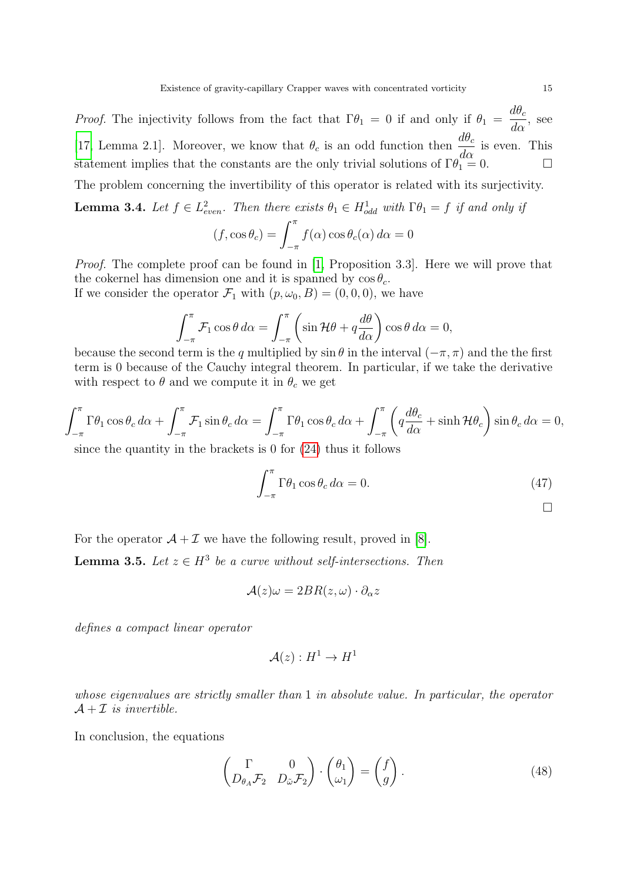*Proof.* The injectivity follows from the fact that  $\Gamma \theta_1 = 0$  if and only if  $\theta_1 =$  $d\theta_c$  $rac{d\alpha}{d\alpha}$ , see [\[17,](#page-33-12) Lemma 2.1]. Moreover, we know that  $\theta_c$  is an odd function then  $\frac{d\theta_c}{d\alpha}$  is even. This statement implies that the constants are the only trivial solutions of  $\Gamma \theta_1^{\alpha \alpha} = 0$ .

The problem concerning the invertibility of this operator is related with its surjectivity.

<span id="page-14-1"></span>**Lemma 3.4.** Let  $f \in L^2_{even}$ . Then there exists  $\theta_1 \in H^1_{odd}$  with  $\Gamma \theta_1 = f$  if and only if

$$
(f, \cos \theta_c) = \int_{-\pi}^{\pi} f(\alpha) \cos \theta_c(\alpha) d\alpha = 0
$$

*Proof.* The complete proof can be found in [\[1,](#page-32-0) Proposition 3.3]. Here we will prove that the cokernel has dimension one and it is spanned by  $\cos \theta_c$ .

If we consider the operator  $\mathcal{F}_1$  with  $(p, \omega_0, B) = (0, 0, 0)$ , we have

$$
\int_{-\pi}^{\pi} \mathcal{F}_1 \cos \theta \, d\alpha = \int_{-\pi}^{\pi} \left( \sin \mathcal{H} \theta + q \frac{d\theta}{d\alpha} \right) \cos \theta \, d\alpha = 0,
$$

because the second term is the q multiplied by  $\sin \theta$  in the interval  $(-\pi, \pi)$  and the the first term is 0 because of the Cauchy integral theorem. In particular, if we take the derivative with respect to  $\theta$  and we compute it in  $\theta_c$  we get

$$
\int_{-\pi}^{\pi} \Gamma \theta_1 \cos \theta_c \, d\alpha + \int_{-\pi}^{\pi} \mathcal{F}_1 \sin \theta_c \, d\alpha = \int_{-\pi}^{\pi} \Gamma \theta_1 \cos \theta_c \, d\alpha + \int_{-\pi}^{\pi} \left( q \frac{d\theta_c}{d\alpha} + \sinh \mathcal{H} \theta_c \right) \sin \theta_c \, d\alpha = 0,
$$
  
since the quantity in the brackets is 0 for (24) thus it follows

brackets is  $0$  for  $(24)$  thus it fo

<span id="page-14-0"></span>
$$
\int_{-\pi}^{\pi} \Gamma \theta_1 \cos \theta_c \, d\alpha = 0. \tag{47}
$$

For the operator  $A + \mathcal{I}$  we have the following result, proved in [\[8\]](#page-33-14).

<span id="page-14-2"></span>**Lemma 3.5.** Let  $z \in H^3$  be a curve without self-intersections. Then

$$
\mathcal{A}(z)\omega = 2BR(z,\omega)\cdot \partial_{\alpha} z
$$

defines a compact linear operator

$$
\mathcal{A}(z):H^1\to H^1
$$

whose eigenvalues are strictly smaller than 1 in absolute value. In particular, the operator  $A + \mathcal{I}$  is invertible.

In conclusion, the equations

$$
\begin{pmatrix} \Gamma & 0 \\ D_{\theta_A} \mathcal{F}_2 & D_{\tilde{\omega}} \mathcal{F}_2 \end{pmatrix} \cdot \begin{pmatrix} \theta_1 \\ \omega_1 \end{pmatrix} = \begin{pmatrix} f \\ g \end{pmatrix} . \tag{48}
$$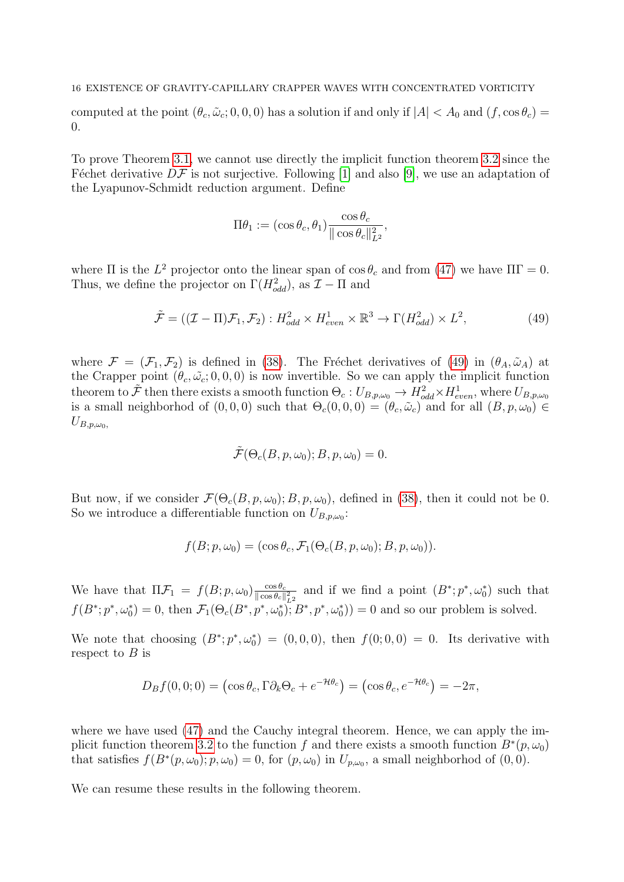### 16 EXISTENCE OF GRAVITY-CAPILLARY CRAPPER WAVES WITH CONCENTRATED VORTICITY

computed at the point  $(\theta_c, \tilde{\omega}_c; 0, 0, 0)$  has a solution if and only if  $|A| < A_0$  and  $(f, \cos \theta_c)$ 0.

To prove Theorem [3.1,](#page-10-0) we cannot use directly the implicit function theorem [3.2](#page-10-2) since the Féchet derivative  $D\mathcal{F}$  is not surjective. Following [\[1\]](#page-32-0) and also [\[9\]](#page-33-2), we use an adaptation of the Lyapunov-Schmidt reduction argument. Define

<span id="page-15-0"></span>
$$
\Pi \theta_1 := (\cos \theta_c, \theta_1) \frac{\cos \theta_c}{\|\cos \theta_c\|_{L^2}^2},
$$

where  $\Pi$  is the  $L^2$  projector onto the linear span of  $\cos \theta_c$  and from [\(47\)](#page-14-0) we have  $\Pi\Gamma = 0$ . Thus, we define the projector on  $\Gamma(H_{odd}^2)$ , as  $\mathcal{I} - \Pi$  and

$$
\tilde{\mathcal{F}} = ((\mathcal{I} - \Pi)\mathcal{F}_1, \mathcal{F}_2) : H^2_{odd} \times H^1_{even} \times \mathbb{R}^3 \to \Gamma(H^2_{odd}) \times L^2,
$$
\n(49)

where  $\mathcal{F} = (\mathcal{F}_1, \mathcal{F}_2)$  is defined in [\(38\)](#page-10-3). The Fréchet derivatives of [\(49\)](#page-15-0) in  $(\theta_A, \tilde{\omega}_A)$  at the Crapper point  $(\theta_c, \tilde{\omega_c}; 0, 0, 0)$  is now invertible. So we can apply the implicit function theorem to  $\tilde{\mathcal{F}}$  then there exists a smooth function  $\Theta_c: U_{B,p,\omega_0} \to \overline{H}_{odd}^2 \times H_{even}^1$ , where  $U_{B,p,\omega_0}$ is a small neighborhod of  $(0, 0, 0)$  such that  $\Theta_c(0, 0, 0) = (\theta_c, \tilde{\omega}_c)$  and for all  $(B, p, \omega_0) \in$  $U_{B,p,\omega_0}$ 

$$
\tilde{\mathcal{F}}(\Theta_c(B, p, \omega_0); B, p, \omega_0) = 0.
$$

But now, if we consider  $\mathcal{F}(\Theta_c(B, p, \omega_0); B, p, \omega_0)$ , defined in [\(38\)](#page-10-3), then it could not be 0. So we introduce a differentiable function on  $U_{B,p,\omega_0}$ :

$$
f(B; p, \omega_0) = (\cos \theta_c, \mathcal{F}_1(\Theta_c(B, p, \omega_0); B, p, \omega_0)).
$$

We have that  $\Pi \mathcal{F}_1 = f(B; p, \omega_0) \frac{\cos \theta_c}{\|\cos \theta_c\|}$  $\frac{\cos \theta_c}{\|\cos \theta_c\|_{L^2}^2}$  and if we find a point  $(B^*; p^*, \omega_0^*)$  such that  $f(B^*; p^*, \omega_0^*) = 0$ , then  $\mathcal{F}_1(\Theta_c(B^*, p^*, \omega_0^*))$ ;  $B^*, p^*, \omega_0^*)$  = 0 and so our problem is solved.

We note that choosing  $(B^*; p^*, \omega_0^*) = (0, 0, 0)$ , then  $f(0; 0, 0) = 0$ . Its derivative with respect to  $B$  is

$$
D_B f(0,0;0) = (\cos \theta_c, \Gamma \partial_k \Theta_c + e^{-\mathcal{H}\theta_c}) = (\cos \theta_c, e^{-\mathcal{H}\theta_c}) = -2\pi,
$$

where we have used [\(47\)](#page-14-0) and the Cauchy integral theorem. Hence, we can apply the im-plicit function theorem [3.2](#page-10-2) to the function f and there exists a smooth function  $B^*(p,\omega_0)$ that satisfies  $f(B^*(p, \omega_0); p, \omega_0) = 0$ , for  $(p, \omega_0)$  in  $U_{p, \omega_0}$ , a small neighborhod of  $(0, 0)$ .

We can resume these results in the following theorem.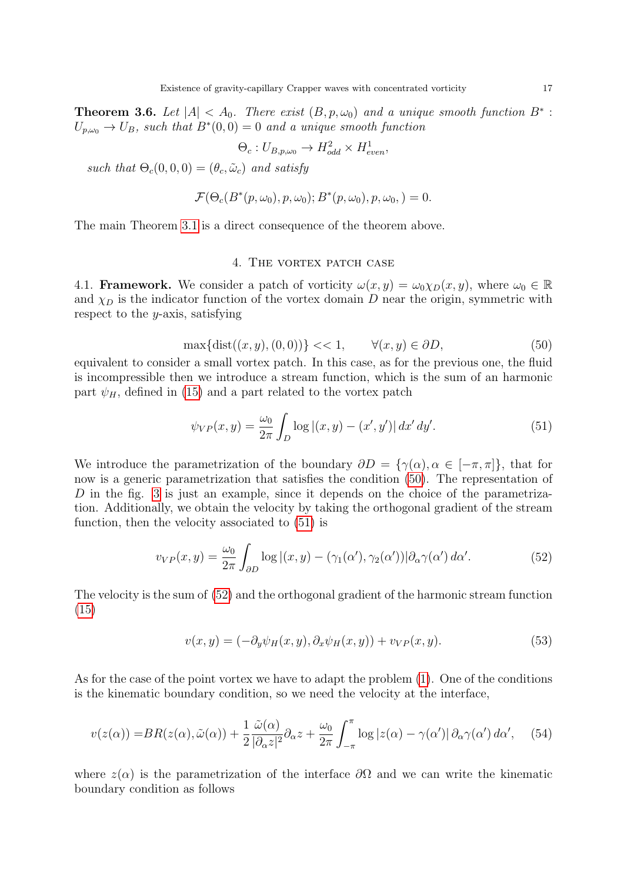**Theorem 3.6.** Let  $|A| < A_0$ . There exist  $(B, p, \omega_0)$  and a unique smooth function  $B^*$ :  $U_{p,\omega_0} \to U_B$ , such that  $B^*(0,0) = 0$  and a unique smooth function

$$
\Theta_c: U_{B,p,\omega_0} \to H_{odd}^2 \times H_{even}^1,
$$

such that  $\Theta_c(0,0,0) = (\theta_c, \tilde{\omega}_c)$  and satisfy

$$
\mathcal{F}(\Theta_c(B^*(p,\omega_0),p,\omega_0);B^*(p,\omega_0),p,\omega_0,)=0.
$$

The main Theorem [3.1](#page-10-0) is a direct consequence of the theorem above.

# <span id="page-16-2"></span><span id="page-16-1"></span>4. THE VORTEX PATCH CASE

<span id="page-16-0"></span>4.1. **Framework.** We consider a patch of vorticity  $\omega(x, y) = \omega_0 \chi_D(x, y)$ , where  $\omega_0 \in \mathbb{R}$ and  $\chi_D$  is the indicator function of the vortex domain D near the origin, symmetric with respect to the y-axis, satisfying

$$
\max\{\text{dist}((x, y), (0, 0))\} << 1, \qquad \forall (x, y) \in \partial D,\tag{50}
$$

equivalent to consider a small vortex patch. In this case, as for the previous one, the fluid is incompressible then we introduce a stream function, which is the sum of an harmonic part  $\psi_H$ , defined in [\(15\)](#page-5-3) and a part related to the vortex patch

$$
\psi_{VP}(x,y) = \frac{\omega_0}{2\pi} \int_D \log|(x,y) - (x',y')| \, dx' \, dy'. \tag{51}
$$

We introduce the parametrization of the boundary  $\partial D = \{\gamma(\alpha), \alpha \in [-\pi, \pi]\}\$ , that for now is a generic parametrization that satisfies the condition [\(50\)](#page-16-1). The representation of D in the fig. [3](#page-18-0) is just an example, since it depends on the choice of the parametrization. Additionally, we obtain the velocity by taking the orthogonal gradient of the stream function, then the velocity associated to [\(51\)](#page-16-2) is

$$
v_{VP}(x,y) = \frac{\omega_0}{2\pi} \int_{\partial D} \log |(x,y) - (\gamma_1(\alpha'), \gamma_2(\alpha'))| \partial_\alpha \gamma(\alpha') d\alpha'.
$$
 (52)

The velocity is the sum of [\(52\)](#page-16-3) and the orthogonal gradient of the harmonic stream function [\(15\)](#page-5-3)

<span id="page-16-3"></span>
$$
v(x,y) = (-\partial_y \psi_H(x,y), \partial_x \psi_H(x,y)) + v_{VP}(x,y). \tag{53}
$$

As for the case of the point vortex we have to adapt the problem [\(1\)](#page-0-0). One of the conditions is the kinematic boundary condition, so we need the velocity at the interface,

$$
v(z(\alpha)) = BR(z(\alpha), \tilde{\omega}(\alpha)) + \frac{1}{2} \frac{\tilde{\omega}(\alpha)}{|\partial_{\alpha} z|^2} \partial_{\alpha} z + \frac{\omega_0}{2\pi} \int_{-\pi}^{\pi} \log|z(\alpha) - \gamma(\alpha')| \partial_{\alpha} \gamma(\alpha') d\alpha', \quad (54)
$$

where  $z(\alpha)$  is the parametrization of the interface  $\partial\Omega$  and we can write the kinematic boundary condition as follows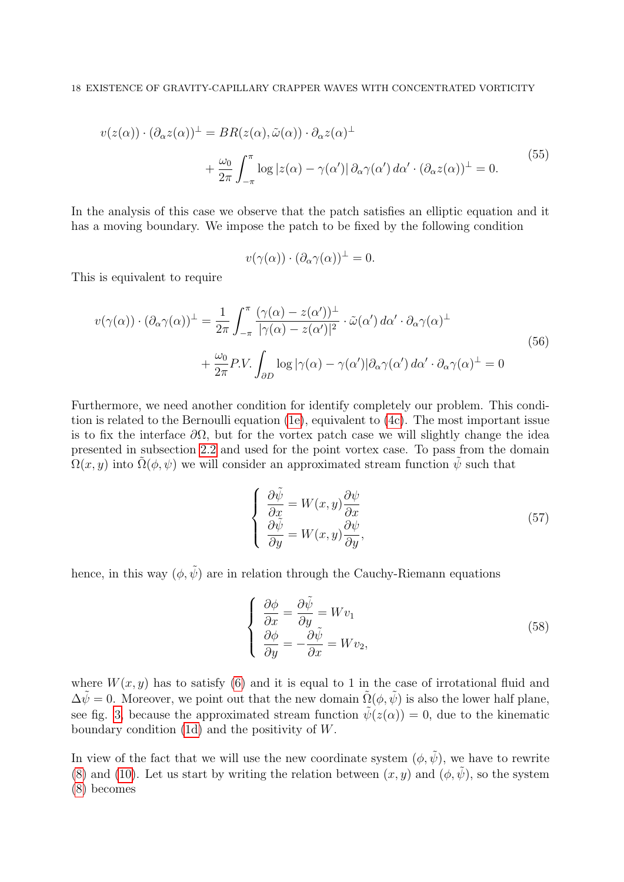$$
v(z(\alpha)) \cdot (\partial_{\alpha} z(\alpha))^{\perp} = BR(z(\alpha), \tilde{\omega}(\alpha)) \cdot \partial_{\alpha} z(\alpha)^{\perp}
$$
  
+ 
$$
\frac{\omega_0}{2\pi} \int_{-\pi}^{\pi} \log |z(\alpha) - \gamma(\alpha')| \partial_{\alpha} \gamma(\alpha') d\alpha' \cdot (\partial_{\alpha} z(\alpha))^{\perp} = 0.
$$
 (55)

In the analysis of this case we observe that the patch satisfies an elliptic equation and it has a moving boundary. We impose the patch to be fixed by the following condition

<span id="page-17-3"></span><span id="page-17-2"></span>
$$
v(\gamma(\alpha)) \cdot (\partial_{\alpha} \gamma(\alpha))^{\perp} = 0.
$$

This is equivalent to require

$$
v(\gamma(\alpha)) \cdot (\partial_{\alpha}\gamma(\alpha))^{\perp} = \frac{1}{2\pi} \int_{-\pi}^{\pi} \frac{(\gamma(\alpha) - z(\alpha'))^{\perp}}{|\gamma(\alpha) - z(\alpha')|^2} \cdot \tilde{\omega}(\alpha') d\alpha' \cdot \partial_{\alpha}\gamma(\alpha)^{\perp} + \frac{\omega_0}{2\pi} P.V. \int_{\partial D} \log |\gamma(\alpha) - \gamma(\alpha')| \partial_{\alpha}\gamma(\alpha') d\alpha' \cdot \partial_{\alpha}\gamma(\alpha)^{\perp} = 0
$$
\n(56)

Furthermore, we need another condition for identify completely our problem. This condition is related to the Bernoulli equation [\(1e\)](#page-0-4), equivalent to [\(4c\)](#page-2-4). The most important issue is to fix the interface  $\partial\Omega$ , but for the vortex patch case we will slightly change the idea presented in subsection [2.2](#page-3-2) and used for the point vortex case. To pass from the domain  $\Omega(x, y)$  into  $\tilde{\Omega}(\phi, \psi)$  we will consider an approximated stream function  $\tilde{\psi}$  such that

<span id="page-17-0"></span>
$$
\begin{cases}\n\frac{\partial \tilde{\psi}}{\partial x} = W(x, y) \frac{\partial \psi}{\partial x} \\
\frac{\partial \tilde{\psi}}{\partial y} = W(x, y) \frac{\partial \psi}{\partial y},\n\end{cases}
$$
\n(57)

hence, in this way  $(\phi, \tilde{\psi})$  are in relation through the Cauchy-Riemann equations

<span id="page-17-1"></span>
$$
\begin{cases}\n\frac{\partial \phi}{\partial x} = \frac{\partial \tilde{\psi}}{\partial y} = Wv_1 \\
\frac{\partial \phi}{\partial y} = -\frac{\partial \tilde{\psi}}{\partial x} = Wv_2,\n\end{cases}
$$
\n(58)

where  $W(x, y)$  has to satisfy [\(6\)](#page-3-1) and it is equal to 1 in the case of irrotational fluid and  $\Delta \tilde{\psi} = 0$ . Moreover, we point out that the new domain  $\tilde{\Omega}(\phi, \tilde{\psi})$  is also the lower half plane, see fig. [3,](#page-18-0) because the approximated stream function  $\tilde{\psi}(z(\alpha)) = 0$ , due to the kinematic boundary condition [\(1d\)](#page-0-2) and the positivity of W.

In view of the fact that we will use the new coordinate system  $(\phi, \tilde{\psi})$ , we have to rewrite [\(8\)](#page-3-3) and [\(10\)](#page-4-3). Let us start by writing the relation between  $(x, y)$  and  $(\phi, \tilde{\psi})$ , so the system [\(8\)](#page-3-3) becomes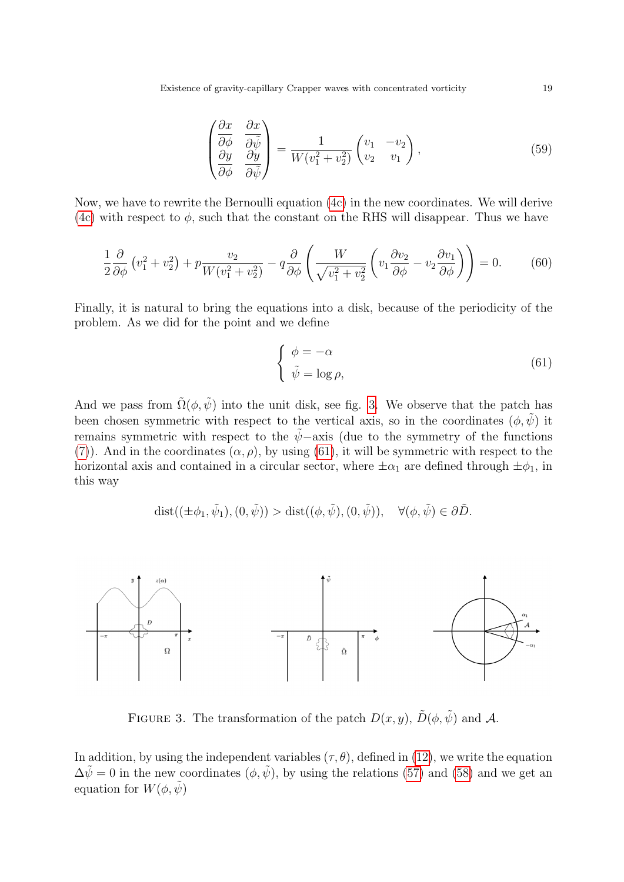Existence of gravity-capillary Crapper waves with concentrated vorticity 19

<span id="page-18-3"></span>
$$
\begin{pmatrix}\n\frac{\partial x}{\partial \phi} & \frac{\partial x}{\partial \tilde{\psi}} \\
\frac{\partial y}{\partial \phi} & \frac{\partial y}{\partial \tilde{\psi}}\n\end{pmatrix} = \frac{1}{W(v_1^2 + v_2^2)} \begin{pmatrix} v_1 & -v_2 \\ v_2 & v_1 \end{pmatrix},
$$
\n(59)

Now, we have to rewrite the Bernoulli equation [\(4c\)](#page-2-4) in the new coordinates. We will derive [\(4c\)](#page-2-4) with respect to  $\phi$ , such that the constant on the RHS will disappear. Thus we have

$$
\frac{1}{2}\frac{\partial}{\partial \phi}\left(v_1^2 + v_2^2\right) + p\frac{v_2}{W(v_1^2 + v_2^2)} - q\frac{\partial}{\partial \phi}\left(\frac{W}{\sqrt{v_1^2 + v_2^2}}\left(v_1\frac{\partial v_2}{\partial \phi} - v_2\frac{\partial v_1}{\partial \phi}\right)\right) = 0.
$$
 (60)

Finally, it is natural to bring the equations into a disk, because of the periodicity of the problem. As we did for the point and we define

<span id="page-18-2"></span><span id="page-18-1"></span>
$$
\begin{cases} \phi = -\alpha \\ \tilde{\psi} = \log \rho, \end{cases} \tag{61}
$$

And we pass from  $\tilde{\Omega}(\phi, \tilde{\psi})$  into the unit disk, see fig. [3.](#page-18-0) We observe that the patch has been chosen symmetric with respect to the vertical axis, so in the coordinates  $(\phi, \tilde{\psi})$  it remains symmetric with respect to the  $\tilde{\psi}$ −axis (due to the symmetry of the functions [\(7\)](#page-3-4)). And in the coordinates  $(\alpha, \rho)$ , by using [\(61\)](#page-18-1), it will be symmetric with respect to the horizontal axis and contained in a circular sector, where  $\pm \alpha_1$  are defined through  $\pm \phi_1$ , in this way

$$
\mathrm{dist}((\pm \phi_1, \tilde{\psi}_1), (0, \tilde{\psi})) > \mathrm{dist}((\phi, \tilde{\psi}), (0, \tilde{\psi})), \quad \forall (\phi, \tilde{\psi}) \in \partial \tilde{D}.
$$



<span id="page-18-0"></span>FIGURE 3. The transformation of the patch  $D(x, y)$ ,  $\tilde{D}(\phi, \tilde{\psi})$  and A.

In addition, by using the independent variables  $(\tau, \theta)$ , defined in [\(12\)](#page-4-1), we write the equation  $\Delta \tilde{\psi} = 0$  in the new coordinates  $(\phi, \tilde{\psi})$ , by using the relations [\(57\)](#page-17-0) and [\(58\)](#page-17-1) and we get an equation for  $W(\phi, \tilde{\psi})$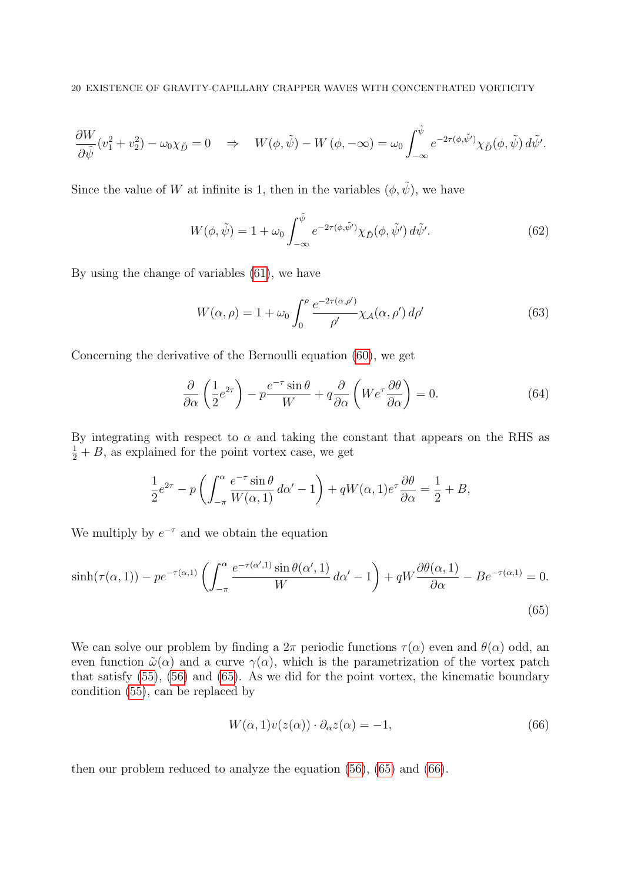$$
\frac{\partial W}{\partial \tilde{\psi}}(v_1^2 + v_2^2) - \omega_0 \chi_{\tilde{D}} = 0 \quad \Rightarrow \quad W(\phi, \tilde{\psi}) - W(\phi, -\infty) = \omega_0 \int_{-\infty}^{\tilde{\psi}} e^{-2\tau(\phi, \tilde{\psi}')} \chi_{\tilde{D}}(\phi, \tilde{\psi}) d\tilde{\psi}'.
$$

Since the value of W at infinite is 1, then in the variables  $(\phi, \tilde{\psi})$ , we have

$$
W(\phi, \tilde{\psi}) = 1 + \omega_0 \int_{-\infty}^{\tilde{\psi}} e^{-2\tau(\phi, \tilde{\psi}')}\chi_{\tilde{D}}(\phi, \tilde{\psi}') d\tilde{\psi}'. \tag{62}
$$

By using the change of variables [\(61\)](#page-18-1), we have

<span id="page-19-2"></span>
$$
W(\alpha, \rho) = 1 + \omega_0 \int_0^{\rho} \frac{e^{-2\tau(\alpha, \rho')}}{\rho'} \chi_{\mathcal{A}}(\alpha, \rho') d\rho' \tag{63}
$$

Concerning the derivative of the Bernoulli equation [\(60\)](#page-18-2), we get

$$
\frac{\partial}{\partial \alpha} \left( \frac{1}{2} e^{2\tau} \right) - p \frac{e^{-\tau} \sin \theta}{W} + q \frac{\partial}{\partial \alpha} \left( W e^{\tau} \frac{\partial \theta}{\partial \alpha} \right) = 0. \tag{64}
$$

By integrating with respect to  $\alpha$  and taking the constant that appears on the RHS as  $\frac{1}{2} + B$ , as explained for the point vortex case, we get

$$
\frac{1}{2}e^{2\tau} - p\left(\int_{-\pi}^{\alpha} \frac{e^{-\tau}\sin\theta}{W(\alpha,1)}\,d\alpha' - 1\right) + qW(\alpha,1)e^{\tau}\frac{\partial\theta}{\partial\alpha} = \frac{1}{2} + B,
$$

We multiply by  $e^{-\tau}$  and we obtain the equation

$$
\sinh(\tau(\alpha, 1)) - p e^{-\tau(\alpha, 1)} \left( \int_{-\pi}^{\alpha} \frac{e^{-\tau(\alpha', 1)} \sin \theta(\alpha', 1)}{W} d\alpha' - 1 \right) + q W \frac{\partial \theta(\alpha, 1)}{\partial \alpha} - B e^{-\tau(\alpha, 1)} = 0.
$$
\n(65)

We can solve our problem by finding a  $2\pi$  periodic functions  $\tau(\alpha)$  even and  $\theta(\alpha)$  odd, an even function  $\tilde{\omega}(\alpha)$  and a curve  $\gamma(\alpha)$ , which is the parametrization of the vortex patch that satisfy [\(55\)](#page-17-2), [\(56\)](#page-17-3) and [\(65\)](#page-19-0). As we did for the point vortex, the kinematic boundary condition [\(55\)](#page-17-2), can be replaced by

<span id="page-19-1"></span><span id="page-19-0"></span>
$$
W(\alpha, 1)v(z(\alpha)) \cdot \partial_{\alpha} z(\alpha) = -1,\tag{66}
$$

then our problem reduced to analyze the equation [\(56\)](#page-17-3), [\(65\)](#page-19-0) and [\(66\)](#page-19-1).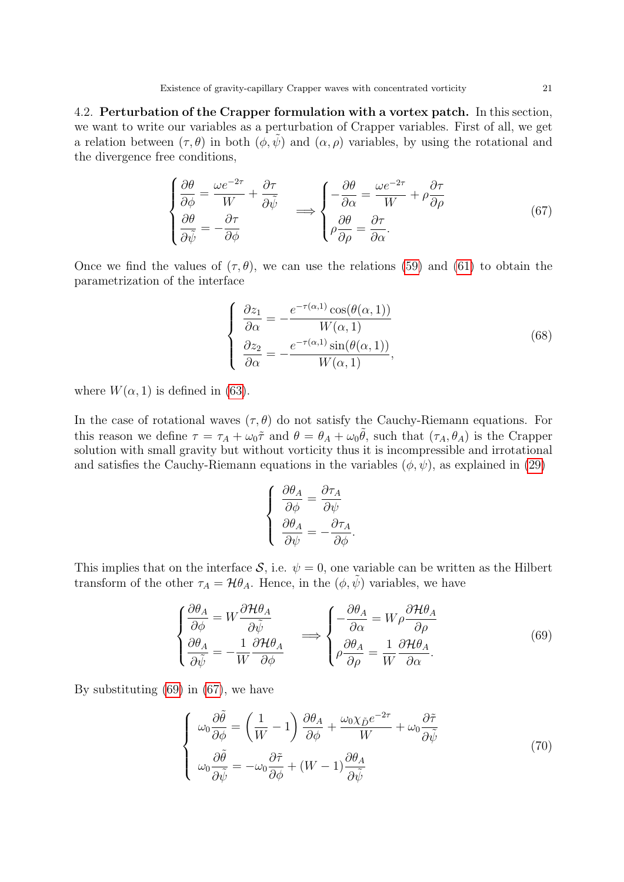4.2. Perturbation of the Crapper formulation with a vortex patch. In this section, we want to write our variables as a perturbation of Crapper variables. First of all, we get a relation between  $(\tau, \theta)$  in both  $(\phi, \psi)$  and  $(\alpha, \rho)$  variables, by using the rotational and the divergence free conditions,

$$
\begin{cases}\n\frac{\partial \theta}{\partial \phi} = \frac{\omega e^{-2\tau}}{W} + \frac{\partial \tau}{\partial \tilde{\psi}} \\
\frac{\partial \theta}{\partial \tilde{\psi}} = -\frac{\partial \tau}{\partial \phi}\n\end{cases}\n\Longrightarrow\n\begin{cases}\n-\frac{\partial \theta}{\partial \alpha} = \frac{\omega e^{-2\tau}}{W} + \rho \frac{\partial \tau}{\partial \rho} \\
\rho \frac{\partial \theta}{\partial \rho} = \frac{\partial \tau}{\partial \alpha}.\n\end{cases}\n\tag{67}
$$

Once we find the values of  $(\tau, \theta)$ , we can use the relations [\(59\)](#page-18-3) and [\(61\)](#page-18-1) to obtain the parametrization of the interface

<span id="page-20-2"></span><span id="page-20-1"></span>
$$
\begin{cases}\n\frac{\partial z_1}{\partial \alpha} = -\frac{e^{-\tau(\alpha,1)} \cos(\theta(\alpha,1))}{W(\alpha,1)} \\
\frac{\partial z_2}{\partial \alpha} = -\frac{e^{-\tau(\alpha,1)} \sin(\theta(\alpha,1))}{W(\alpha,1)},\n\end{cases}
$$
\n(68)

where  $W(\alpha, 1)$  is defined in [\(63\)](#page-19-2).

In the case of rotational waves  $(\tau, \theta)$  do not satisfy the Cauchy-Riemann equations. For this reason we define  $\tau = \tau_A + \omega_0 \tilde{\tau}$  and  $\theta = \theta_A + \omega_0 \tilde{\theta}$ , such that  $(\tau_A, \theta_A)$  is the Crapper solution with small gravity but without vorticity thus it is incompressible and irrotational and satisfies the Cauchy-Riemann equations in the variables  $(\phi, \psi)$ , as explained in [\(29\)](#page-8-2)

<span id="page-20-0"></span>
$$
\left\{ \begin{array}{l} \displaystyle \frac{\partial \theta_A}{\partial \phi} = \frac{\partial \tau_A}{\partial \psi} \\ \displaystyle \frac{\partial \theta_A}{\partial \psi} = - \frac{\partial \tau_A}{\partial \phi}. \end{array} \right.
$$

This implies that on the interface S, i.e.  $\psi = 0$ , one variable can be written as the Hilbert transform of the other  $\tau_A = \mathcal{H} \theta_A$ . Hence, in the  $(\phi, \psi)$  variables, we have

$$
\begin{cases}\n\frac{\partial \theta_A}{\partial \phi} = W \frac{\partial \mathcal{H} \theta_A}{\partial \tilde{\psi}} \\
\frac{\partial \theta_A}{\partial \tilde{\psi}} = -\frac{1}{W} \frac{\partial \mathcal{H} \theta_A}{\partial \phi} \n\end{cases} \implies \begin{cases}\n-\frac{\partial \theta_A}{\partial \alpha} = W \rho \frac{\partial \mathcal{H} \theta_A}{\partial \rho} \\
\rho \frac{\partial \theta_A}{\partial \rho} = \frac{1}{W} \frac{\partial \mathcal{H} \theta_A}{\partial \alpha}.\n\end{cases} \tag{69}
$$

By substituting [\(69\)](#page-20-0) in [\(67\)](#page-20-1), we have

$$
\begin{cases}\n\omega_0 \frac{\partial \tilde{\theta}}{\partial \phi} = \left(\frac{1}{W} - 1\right) \frac{\partial \theta_A}{\partial \phi} + \frac{\omega_0 \chi_{\tilde{D}} e^{-2\tau}}{W} + \omega_0 \frac{\partial \tilde{\tau}}{\partial \tilde{\psi}} \\
\omega_0 \frac{\partial \tilde{\theta}}{\partial \tilde{\psi}} = -\omega_0 \frac{\partial \tilde{\tau}}{\partial \phi} + (W - 1) \frac{\partial \theta_A}{\partial \tilde{\psi}}\n\end{cases} (70)
$$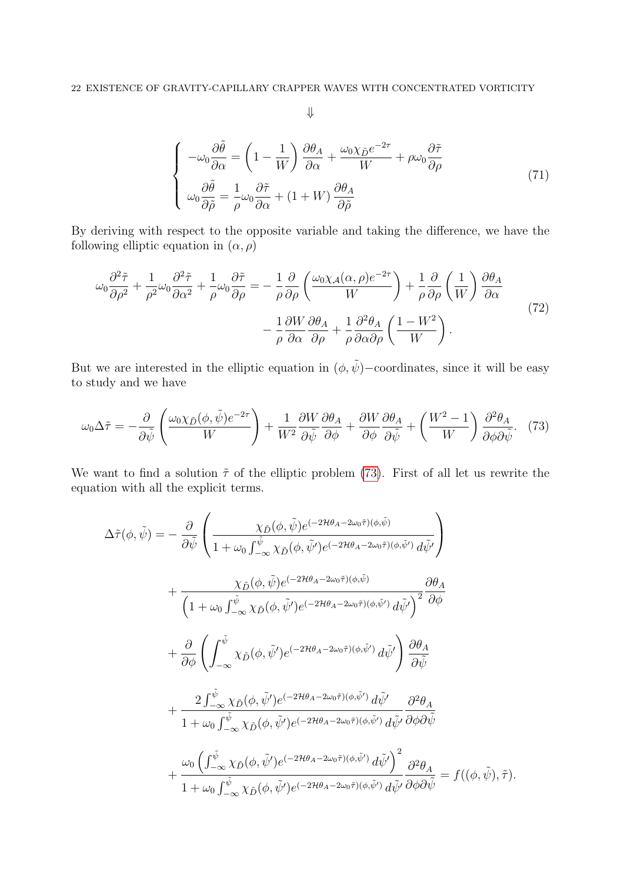<span id="page-21-1"></span><span id="page-21-0"></span>
$$
\downarrow
$$

$$
\begin{cases}\n-\omega_0 \frac{\partial \tilde{\theta}}{\partial \alpha} = \left(1 - \frac{1}{W}\right) \frac{\partial \theta_A}{\partial \alpha} + \frac{\omega_0 \chi_{\tilde{D}} e^{-2\tau}}{W} + \rho \omega_0 \frac{\partial \tilde{\tau}}{\partial \rho} \\
\omega_0 \frac{\partial \tilde{\theta}}{\partial \tilde{\rho}} = \frac{1}{\rho} \omega_0 \frac{\partial \tilde{\tau}}{\partial \alpha} + (1 + W) \frac{\partial \theta_A}{\partial \tilde{\rho}}\n\end{cases}
$$
\n(71)

By deriving with respect to the opposite variable and taking the difference, we have the following elliptic equation in  $(\alpha, \rho)$ 

$$
\omega_0 \frac{\partial^2 \tilde{\tau}}{\partial \rho^2} + \frac{1}{\rho^2} \omega_0 \frac{\partial^2 \tilde{\tau}}{\partial \alpha^2} + \frac{1}{\rho} \omega_0 \frac{\partial \tilde{\tau}}{\partial \rho} = -\frac{1}{\rho} \frac{\partial}{\partial \rho} \left( \frac{\omega_0 \chi_A(\alpha, \rho) e^{-2\tau}}{W} \right) + \frac{1}{\rho} \frac{\partial}{\partial \rho} \left( \frac{1}{W} \right) \frac{\partial \theta_A}{\partial \alpha} - \frac{1}{\rho} \frac{\partial W}{\partial \alpha} \frac{\partial \theta_A}{\partial \rho} + \frac{1}{\rho} \frac{\partial^2 \theta_A}{\partial \alpha \partial \rho} \left( \frac{1 - W^2}{W} \right).
$$
(72)

But we are interested in the elliptic equation in  $(\phi, \tilde{\psi})$ –coordinates, since it will be easy to study and we have

$$
\omega_0 \Delta \tilde{\tau} = -\frac{\partial}{\partial \tilde{\psi}} \left( \frac{\omega_0 \chi_{\tilde{D}}(\phi, \tilde{\psi}) e^{-2\tau}}{W} \right) + \frac{1}{W^2} \frac{\partial W}{\partial \tilde{\psi}} \frac{\partial \theta_A}{\partial \phi} + \frac{\partial W}{\partial \phi} \frac{\partial \theta_A}{\partial \tilde{\psi}} + \left( \frac{W^2 - 1}{W} \right) \frac{\partial^2 \theta_A}{\partial \phi \partial \tilde{\psi}}. \tag{73}
$$

We want to find a solution  $\tilde{\tau}$  of the elliptic problem [\(73\)](#page-21-0). First of all let us rewrite the equation with all the explicit terms.

$$
\Delta \tilde{\tau}(\phi, \tilde{\psi}) = -\frac{\partial}{\partial \tilde{\psi}} \left( \frac{\chi_{\tilde{D}}(\phi, \tilde{\psi}) e^{(-2\mathcal{H}\theta_{A} - 2\omega_{0}\tilde{\tau})(\phi, \tilde{\psi})}}{1 + \omega_{0} \int_{-\infty}^{\tilde{\psi}} \chi_{\tilde{D}}(\phi, \tilde{\psi}) e^{(-2\mathcal{H}\theta_{A} - 2\omega_{0}\tilde{\tau})(\phi, \tilde{\psi}')} d\tilde{\psi}'} \right) \n+ \frac{\chi_{\tilde{D}}(\phi, \tilde{\psi}) e^{(-2\mathcal{H}\theta_{A} - 2\omega_{0}\tilde{\tau})(\phi, \tilde{\psi})}}{\left(1 + \omega_{0} \int_{-\infty}^{\tilde{\psi}} \chi_{\tilde{D}}(\phi, \tilde{\psi}') e^{(-2\mathcal{H}\theta_{A} - 2\omega_{0}\tilde{\tau})(\phi, \tilde{\psi}')} d\tilde{\psi}'}\right)^{2} \frac{\partial \theta_{A}}{\partial \phi}} \n+ \frac{\partial}{\partial \phi} \left( \int_{-\infty}^{\tilde{\psi}} \chi_{\tilde{D}}(\phi, \tilde{\psi}') e^{(-2\mathcal{H}\theta_{A} - 2\omega_{0}\tilde{\tau})(\phi, \tilde{\psi}')} d\tilde{\psi}'} \right) \frac{\partial \theta_{A}}{\partial \tilde{\psi}} \n+ \frac{2 \int_{-\infty}^{\tilde{\psi}} \chi_{\tilde{D}}(\phi, \tilde{\psi}') e^{(-2\mathcal{H}\theta_{A} - 2\omega_{0}\tilde{\tau})(\phi, \tilde{\psi}')} d\tilde{\psi}'}{1 + \omega_{0} \int_{-\infty}^{\tilde{\psi}} \chi_{\tilde{D}}(\phi, \tilde{\psi}') e^{(-2\mathcal{H}\theta_{A} - 2\omega_{0}\tilde{\tau})(\phi, \tilde{\psi}')} d\tilde{\psi}'} \frac{\partial^{2} \theta_{A}}{\partial \phi \partial \tilde{\psi}} \n+ \frac{\omega_{0} \left( \int_{-\infty}^{\tilde{\psi}} \chi_{\tilde{D}}(\phi, \tilde{\psi}') e^{(-2\mathcal{H}\theta_{A} - 2\omega_{0}\tilde{\tau})(\phi, \tilde{\psi}')} d\tilde{\psi}'} \frac{\partial^{2} \theta
$$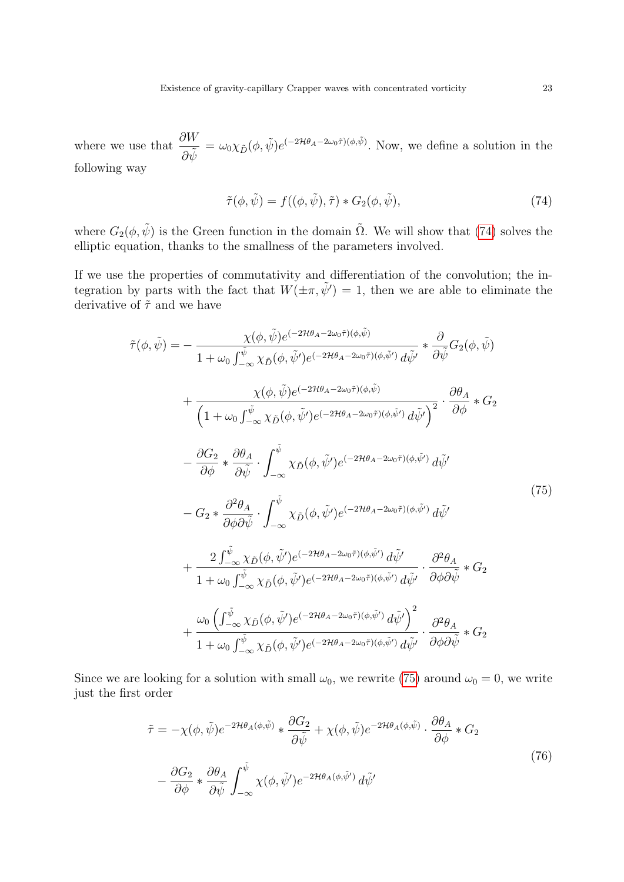where we use that  $\frac{\partial W}{\partial \tilde{x}}$  $\frac{\partial W}{\partial \tilde{\psi}} = \omega_0 \chi_{\tilde{D}}(\phi, \tilde{\psi}) e^{(-2\mathcal{H}\theta_A - 2\omega_0 \tilde{\tau})(\phi, \tilde{\psi})}$ . Now, we define a solution in the following way

<span id="page-22-1"></span><span id="page-22-0"></span>
$$
\tilde{\tau}(\phi, \tilde{\psi}) = f((\phi, \tilde{\psi}), \tilde{\tau}) * G_2(\phi, \tilde{\psi}), \tag{74}
$$

where  $G_2(\phi, \tilde{\psi})$  is the Green function in the domain  $\tilde{\Omega}$ . We will show that [\(74\)](#page-22-0) solves the elliptic equation, thanks to the smallness of the parameters involved.

If we use the properties of commutativity and differentiation of the convolution; the integration by parts with the fact that  $W(\pm \pi, \tilde{\psi}') = 1$ , then we are able to eliminate the derivative of  $\tilde{\tau}$  and we have

$$
\tilde{\tau}(\phi,\tilde{\psi}) = -\frac{\chi(\phi,\tilde{\psi})e^{(-2\mathcal{H}\theta_{A}-2\omega_{0}\tilde{\tau})(\phi,\tilde{\psi})}}{1+\omega_{0}\int_{-\infty}^{\tilde{\psi}}\chi_{\tilde{D}}(\phi,\tilde{\psi}')e^{(-2\mathcal{H}\theta_{A}-2\omega_{0}\tilde{\tau})(\phi,\tilde{\psi}')}d\tilde{\psi}'} * \frac{\partial}{\partial\tilde{\psi}}G_{2}(\phi,\tilde{\psi})
$$
\n
$$
+\frac{\chi(\phi,\tilde{\psi})e^{(-2\mathcal{H}\theta_{A}-2\omega_{0}\tilde{\tau})(\phi,\tilde{\psi}')}d\tilde{\psi}'}{\left(1+\omega_{0}\int_{-\infty}^{\tilde{\psi}}\chi_{\tilde{D}}(\phi,\tilde{\psi}')e^{(-2\mathcal{H}\theta_{A}-2\omega_{0}\tilde{\tau})(\phi,\tilde{\psi}')}d\tilde{\psi}'}\right)^{2}} \cdot \frac{\partial\theta_{A}}{\partial\phi} * G_{2}
$$
\n
$$
-\frac{\partial G_{2}}{\partial\phi} * \frac{\partial\theta_{A}}{\partial\tilde{\psi}} \cdot \int_{-\infty}^{\tilde{\psi}}\chi_{\tilde{D}}(\phi,\tilde{\psi}')e^{(-2\mathcal{H}\theta_{A}-2\omega_{0}\tilde{\tau})(\phi,\tilde{\psi}')}d\tilde{\psi}'
$$
\n
$$
-G_{2} * \frac{\partial^{2}\theta_{A}}{\partial\phi\partial\tilde{\psi}} \cdot \int_{-\infty}^{\tilde{\psi}}\chi_{\tilde{D}}(\phi,\tilde{\psi}')e^{(-2\mathcal{H}\theta_{A}-2\omega_{0}\tilde{\tau})(\phi,\tilde{\psi}')}d\tilde{\psi}'
$$
\n
$$
+\frac{2\int_{-\infty}^{\tilde{\psi}}\chi_{\tilde{D}}(\phi,\tilde{\psi}')e^{(-2\mathcal{H}\theta_{A}-2\omega_{0}\tilde{\tau})(\phi,\tilde{\psi}')}d\tilde{\psi}'}{1+\omega_{0}\int_{-\infty}^{\tilde{\psi}}\chi_{\tilde{D}}(\phi,\tilde{\psi}')e^{(-2\mathcal{H}\theta_{A}-2\omega_{0}\tilde{\tau})(\phi,\tilde{\psi}')}d\tilde{\psi}'} \cdot \frac{\partial^{2}\theta_{A}}{\partial\phi\partial\tilde{\psi}} * G_{
$$

Since we are looking for a solution with small  $\omega_0$ , we rewrite [\(75\)](#page-22-1) around  $\omega_0 = 0$ , we write just the first order

$$
\tilde{\tau} = -\chi(\phi, \tilde{\psi})e^{-2\mathcal{H}\theta_A(\phi, \tilde{\psi})} * \frac{\partial G_2}{\partial \tilde{\psi}} + \chi(\phi, \tilde{\psi})e^{-2\mathcal{H}\theta_A(\phi, \tilde{\psi})} \cdot \frac{\partial \theta_A}{\partial \phi} * G_2
$$
\n
$$
- \frac{\partial G_2}{\partial \phi} * \frac{\partial \theta_A}{\partial \tilde{\psi}} \int_{-\infty}^{\tilde{\psi}} \chi(\phi, \tilde{\psi}')e^{-2\mathcal{H}\theta_A(\phi, \tilde{\psi}')} d\tilde{\psi}'
$$
\n(76)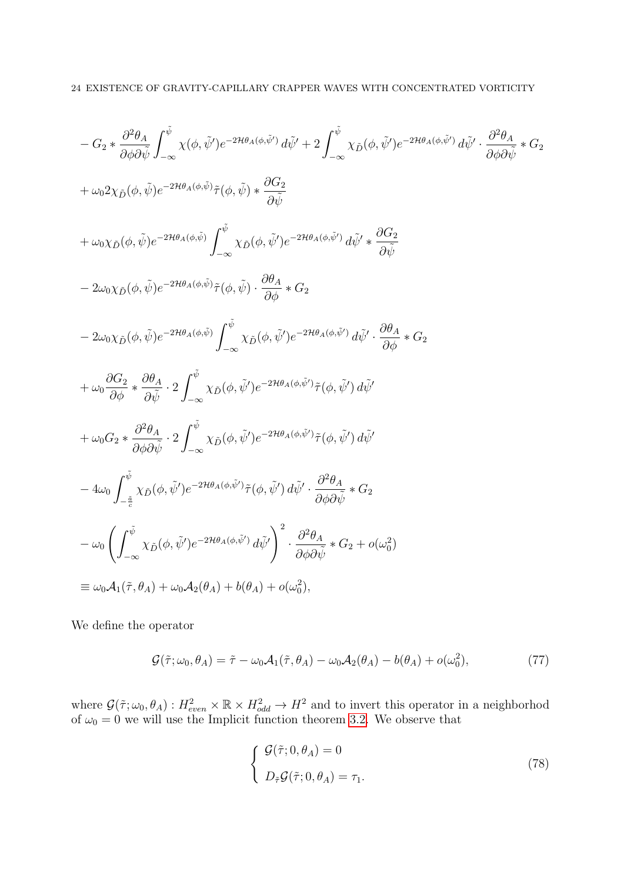$$
- G_2 * \frac{\partial^2 \theta_A}{\partial \phi \partial \tilde{\psi}} \int_{-\infty}^{\tilde{\psi}} \chi(\phi, \tilde{\psi}') e^{-2\mathcal{H}\theta_A(\phi, \tilde{\psi}')} d\tilde{\psi}' + 2 \int_{-\infty}^{\tilde{\psi}} \chi_{\tilde{D}}(\phi, \tilde{\psi}') e^{-2\mathcal{H}\theta_A(\phi, \tilde{\psi}')} d\tilde{\psi}' \cdot \frac{\partial^2 \theta_A}{\partial \phi \partial \tilde{\psi}} * G_2
$$
  
+  $\omega_0 2\chi_{\tilde{D}}(\phi, \tilde{\psi}) e^{-2\mathcal{H}\theta_A(\phi, \tilde{\psi})} \tilde{\tau}(\phi, \tilde{\psi}) * \frac{\partial G_2}{\partial \tilde{\psi}}$   
+  $\omega_0 \chi_{\tilde{D}}(\phi, \tilde{\psi}) e^{-2\mathcal{H}\theta_A(\phi, \tilde{\psi})} \int_{-\infty}^{\tilde{\psi}} \chi_{\tilde{D}}(\phi, \tilde{\psi}') e^{-2\mathcal{H}\theta_A(\phi, \tilde{\psi}')} d\tilde{\psi}' * \frac{\partial G_2}{\partial \tilde{\psi}}$   
-  $2\omega_0 \chi_{\tilde{D}}(\phi, \tilde{\psi}) e^{-2\mathcal{H}\theta_A(\phi, \tilde{\psi})} \tilde{\tau}(\phi, \tilde{\psi}) \cdot \frac{\partial \theta_A}{\partial \phi} * G_2$   
-  $2\omega_0 \chi_{\tilde{D}}(\phi, \tilde{\psi}) e^{-2\mathcal{H}\theta_A(\phi, \tilde{\psi})} \int_{-\infty}^{\tilde{\psi}} \chi_{\tilde{D}}(\phi, \tilde{\psi}') e^{-2\mathcal{H}\theta_A(\phi, \tilde{\psi}')} d\tilde{\psi}' \cdot \frac{\partial \theta_A}{\partial \phi} * G_2$   
+  $\omega_0 \frac{\partial G_2}{\partial \phi} * \frac{\partial \theta_A}{\partial \tilde{\psi}} \cdot 2 \int_{-\infty}^{\tilde{\psi}} \chi_{\tilde{D}}(\phi, \tilde{\psi}') e^{-2\mathcal{H}\theta_A(\phi, \tilde{\psi}')} \tilde{\tau}(\phi, \tilde{\psi}') d\tilde{\psi}'$   
+  $\omega_0 G_2 * \frac{\partial^2 \theta_A}{\partial \phi \partial \tilde{\psi}} \cdot 2 \$ 

We define the operator

$$
\mathcal{G}(\tilde{\tau}; \omega_0, \theta_A) = \tilde{\tau} - \omega_0 \mathcal{A}_1(\tilde{\tau}, \theta_A) - \omega_0 \mathcal{A}_2(\theta_A) - b(\theta_A) + o(\omega_0^2), \tag{77}
$$

where  $\mathcal{G}(\tilde{\tau};\omega_0,\theta_A): H^2_{even}\times\mathbb{R}\times H^2_{odd}\to H^2$  and to invert this operator in a neighborhod of  $\omega_0 = 0$  we will use the Implicit function theorem [3.2.](#page-10-2) We observe that

<span id="page-23-1"></span><span id="page-23-0"></span>
$$
\begin{cases}\n\mathcal{G}(\tilde{\tau}; 0, \theta_A) = 0 \\
D_{\tilde{\tau}}\mathcal{G}(\tilde{\tau}; 0, \theta_A) = \tau_1.\n\end{cases}
$$
\n(78)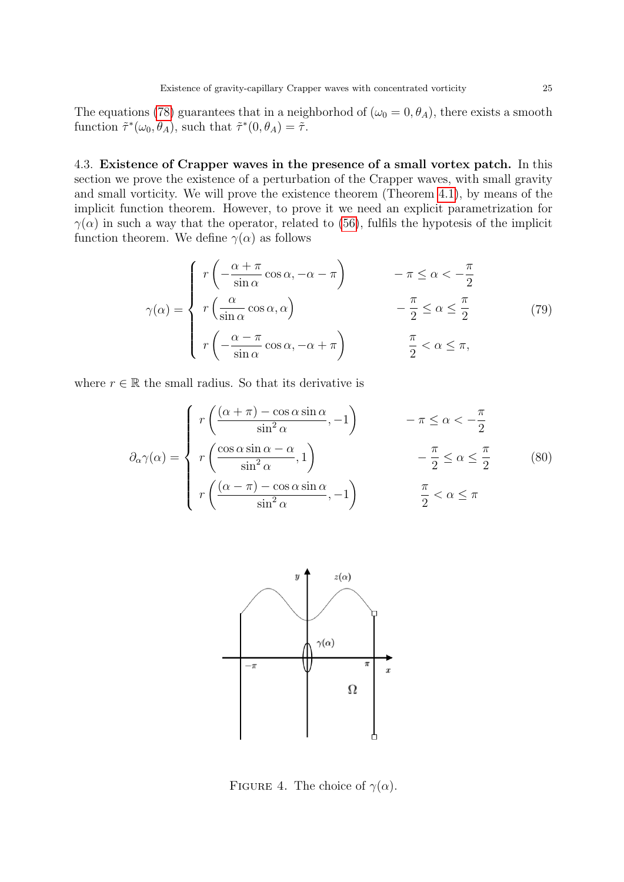The equations [\(78\)](#page-23-0) guarantees that in a neighborhod of ( $\omega_0 = 0, \theta_A$ ), there exists a smooth function  $\tilde{\tau}^*(\omega_0, \theta_A)$ , such that  $\tilde{\tau}^*(0, \theta_A) = \tilde{\tau}$ .

4.3. Existence of Crapper waves in the presence of a small vortex patch. In this section we prove the existence of a perturbation of the Crapper waves, with small gravity and small vorticity. We will prove the existence theorem (Theorem [4.1\)](#page-25-0), by means of the implicit function theorem. However, to prove it we need an explicit parametrization for  $\gamma(\alpha)$  in such a way that the operator, related to [\(56\)](#page-17-3), fulfils the hypotesis of the implicit function theorem. We define  $\gamma(\alpha)$  as follows

<span id="page-24-0"></span>
$$
\gamma(\alpha) = \begin{cases}\nr\left(-\frac{\alpha + \pi}{\sin \alpha}\cos \alpha, -\alpha - \pi\right) & -\pi \le \alpha < -\frac{\pi}{2} \\
r\left(\frac{\alpha}{\sin \alpha}\cos \alpha, \alpha\right) & -\frac{\pi}{2} \le \alpha \le \frac{\pi}{2} \\
r\left(-\frac{\alpha - \pi}{\sin \alpha}\cos \alpha, -\alpha + \pi\right) & \frac{\pi}{2} < \alpha \le \pi,\n\end{cases} (79)
$$

where  $r \in \mathbb{R}$  the small radius. So that its derivative is

$$
\partial_{\alpha}\gamma(\alpha) = \begin{cases}\nr\left(\frac{(\alpha + \pi) - \cos \alpha \sin \alpha}{\sin^2 \alpha}, -1\right) & -\pi \le \alpha < -\frac{\pi}{2} \\
r\left(\frac{\cos \alpha \sin \alpha - \alpha}{\sin^2 \alpha}, 1\right) & -\frac{\pi}{2} \le \alpha \le \frac{\pi}{2} \\
r\left(\frac{(\alpha - \pi) - \cos \alpha \sin \alpha}{\sin^2 \alpha}, -1\right) & \frac{\pi}{2} < \alpha \le \pi\n\end{cases} (80)
$$



FIGURE 4. The choice of  $\gamma(\alpha)$ .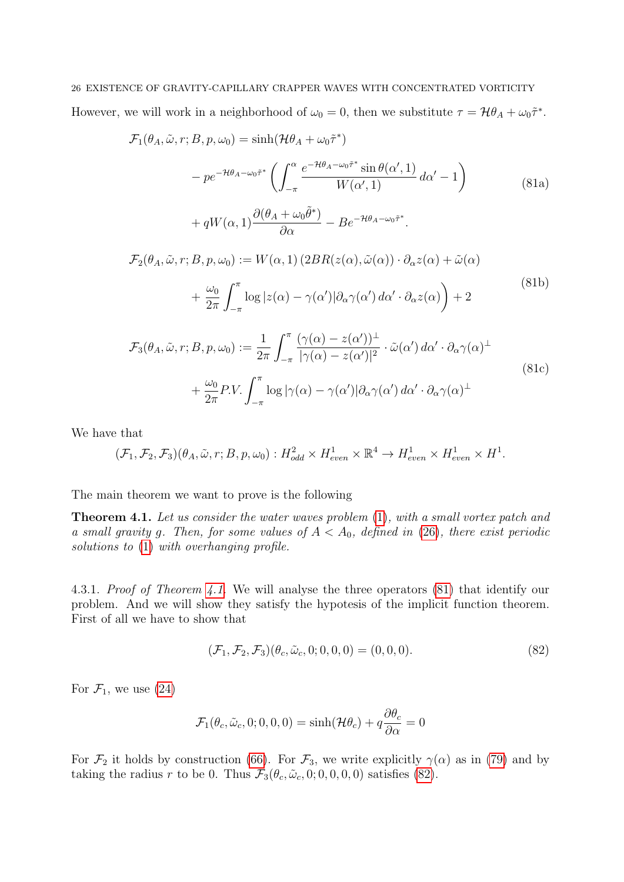# <span id="page-25-1"></span>26 EXISTENCE OF GRAVITY-CAPILLARY CRAPPER WAVES WITH CONCENTRATED VORTICITY However, we will work in a neighborhood of  $\omega_0 = 0$ , then we substitute  $\tau = \mathcal{H}\theta_A + \omega_0 \tilde{\tau}^*$ .

$$
\mathcal{F}_1(\theta_A, \tilde{\omega}, r; B, p, \omega_0) = \sinh(\mathcal{H}\theta_A + \omega_0 \tilde{\tau}^*)
$$

$$
- p e^{-\mathcal{H}\theta_A - \omega_0 \tilde{\tau}^*} \left( \int_{-\pi}^{\alpha} \frac{e^{-\mathcal{H}\theta_A - \omega_0 \tilde{\tau}^*} \sin \theta(\alpha', 1)}{W(\alpha', 1)} d\alpha' - 1 \right)
$$

$$
+ q W(\alpha, 1) \frac{\partial(\theta_A + \omega_0 \tilde{\theta}^*)}{\partial \alpha} - B e^{-\mathcal{H}\theta_A - \omega_0 \tilde{\tau}^*}.
$$

$$
\mathcal{F}(\theta, \tilde{\omega}, r; B, r, \omega) := W(\omega, 1) \left( 2 B P(\alpha(\omega), \tilde{\omega}(\omega)) - \partial_{\alpha} \alpha(\omega) + \tilde{\omega}(\omega) \right)
$$

$$
\mathcal{F}_2(\theta_A, \tilde{\omega}, r; B, p, \omega_0) := W(\alpha, 1) \left( 2BR(z(\alpha), \tilde{\omega}(\alpha)) \cdot \partial_{\alpha} z(\alpha) + \tilde{\omega}(\alpha) \right) + \frac{\omega_0}{2\pi} \int_{-\pi}^{\pi} \log |z(\alpha) - \gamma(\alpha')| \partial_{\alpha} \gamma(\alpha') d\alpha' \cdot \partial_{\alpha} z(\alpha) \Big) + 2
$$
\n(81b)

$$
\mathcal{F}_3(\theta_A, \tilde{\omega}, r; B, p, \omega_0) := \frac{1}{2\pi} \int_{-\pi}^{\pi} \frac{(\gamma(\alpha) - z(\alpha'))^{\perp}}{|\gamma(\alpha) - z(\alpha')|^2} \cdot \tilde{\omega}(\alpha') d\alpha' \cdot \partial_{\alpha} \gamma(\alpha)^{\perp} \n+ \frac{\omega_0}{2\pi} P.V. \int_{-\pi}^{\pi} \log |\gamma(\alpha) - \gamma(\alpha')| \partial_{\alpha} \gamma(\alpha') d\alpha' \cdot \partial_{\alpha} \gamma(\alpha)^{\perp}
$$
\n(81c)

We have that

$$
(\mathcal{F}_1, \mathcal{F}_2, \mathcal{F}_3)(\theta_A, \tilde{\omega}, r; B, p, \omega_0): H^2_{odd} \times H^1_{even} \times \mathbb{R}^4 \to H^1_{even} \times H^1_{even} \times H^1.
$$

The main theorem we want to prove is the following

<span id="page-25-0"></span>**Theorem 4.1.** Let us consider the water waves problem  $(1)$ , with a small vortex patch and a small gravity g. Then, for some values of  $A < A_0$ , defined in [\(26\)](#page-7-3), there exist periodic solutions to [\(1\)](#page-0-0) with overhanging profile.

4.3.1. Proof of Theorem [4.1.](#page-25-0) We will analyse the three operators [\(81\)](#page-25-1) that identify our problem. And we will show they satisfy the hypotesis of the implicit function theorem. First of all we have to show that

<span id="page-25-2"></span>
$$
(\mathcal{F}_1, \mathcal{F}_2, \mathcal{F}_3)(\theta_c, \tilde{\omega}_c, 0; 0, 0, 0) = (0, 0, 0). \tag{82}
$$

For  $\mathcal{F}_1$ , we use [\(24\)](#page-7-5)

$$
\mathcal{F}_1(\theta_c, \tilde{\omega}_c, 0; 0, 0, 0) = \sinh(\mathcal{H}\theta_c) + q\frac{\partial \theta_c}{\partial \alpha} = 0
$$

For  $\mathcal{F}_2$  it holds by construction [\(66\)](#page-19-1). For  $\mathcal{F}_3$ , we write explicitly  $\gamma(\alpha)$  as in [\(79\)](#page-24-0) and by taking the radius r to be 0. Thus  $\mathcal{F}_3(\theta_c, \tilde{\omega}_c, 0; 0, 0, 0, 0)$  satisfies [\(82\)](#page-25-2).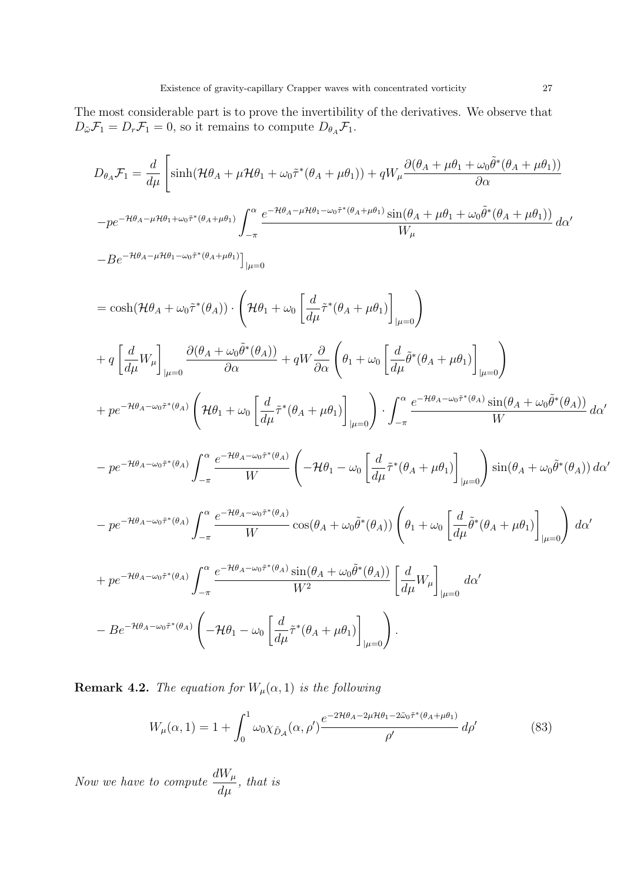The most considerable part is to prove the invertibility of the derivatives. We observe that  $D_{\tilde{\omega}}\mathcal{F}_1 = D_r\mathcal{F}_1 = 0$ , so it remains to compute  $D_{\theta_A}\mathcal{F}_1$ .

$$
D_{\theta_A} \mathcal{F}_1 = \frac{d}{d\mu} \left[ \sinh(\mathcal{H}\theta_A + \mu \mathcal{H}\theta_1 + \omega_0 \tilde{\tau}^* (\theta_A + \mu \theta_1)) + qW_{\mu} \frac{\partial(\theta_A + \mu \theta_1 + \omega_0 \tilde{\theta}^* (\theta_A + \mu \theta_1))}{\partial \alpha} \right]
$$
  
\n
$$
- p e^{-\mathcal{H}\theta_A - \mu \mathcal{H}\theta_1 + \omega_0 \tilde{\tau}^* (\theta_A + \mu \theta_1))} \int_{-\pi}^{\alpha} \frac{e^{-\mathcal{H}\theta_A - \mu \mathcal{H}\theta_1 - \omega_0 \tilde{\tau}^* (\theta_A + \mu \theta_1))} \sin(\theta_A + \mu \theta_1 + \omega_0 \tilde{\theta}^* (\theta_A + \mu \theta_1))}{W_{\mu}} d\alpha'
$$
  
\n
$$
- B e^{-\mathcal{H}\theta_A - \mu \mathcal{H}\theta_1 - \omega_0 \tilde{\tau}^* (\theta_A + \mu \theta_1))} \cdot \left( \mathcal{H}\theta_1 + \omega_0 \left[ \frac{d}{d\mu} \tilde{\tau}^* (\theta_A + \mu \theta_1) \right]_{|\mu=0} \right)
$$
  
\n
$$
+ q \left[ \frac{d}{d\mu} W_{\mu} \right]_{|\mu=0} \frac{\partial (\theta_A + \omega_0 \tilde{\theta}^* (\theta_A))}{\partial \alpha} + qW \frac{\partial}{\partial \alpha} \left( \theta_1 + \omega_0 \left[ \frac{d}{d\mu} \tilde{\theta}^* (\theta_A + \mu \theta_1) \right]_{|\mu=0} \right)
$$
  
\n
$$
+ p e^{-\mathcal{H}\theta_A - \omega_0 \tilde{\tau}^* (\theta_A)} \left( \mathcal{H}\theta_1 + \omega_0 \left[ \frac{d}{d\mu} \tilde{\tau}^* (\theta_A + \mu \theta_1) \right]_{|\mu=0} \right) \cdot \int_{-\pi}^{\alpha} \frac{e^{-\mathcal{H}\theta_A - \omega_0 \tilde{\tau}^* (\theta_A)} \sin(\theta_A + \omega_0 \tilde{\theta}^* (\theta_A))}{W} d\alpha'
$$
  
\n
$$
- p e^{-\mathcal{H}\theta_A - \omega_0 \tilde{\tau}^*
$$

<span id="page-26-0"></span>**Remark 4.2.** The equation for  $W_\mu(\alpha, 1)$  is the following

<span id="page-26-1"></span>
$$
W_{\mu}(\alpha,1) = 1 + \int_0^1 \omega_0 \chi_{\tilde{D}_{\mathcal{A}}}(\alpha,\rho') \frac{e^{-2\mathcal{H}\theta_A - 2\mu\mathcal{H}\theta_1 - 2\tilde{\omega}_0 \tilde{\tau}^*(\theta_A + \mu\theta_1)}}{\rho'} d\rho' \tag{83}
$$

Now we have to compute  $\frac{dW_\mu}{dt}$  $\frac{\partial u}{\partial \mu}$ , that is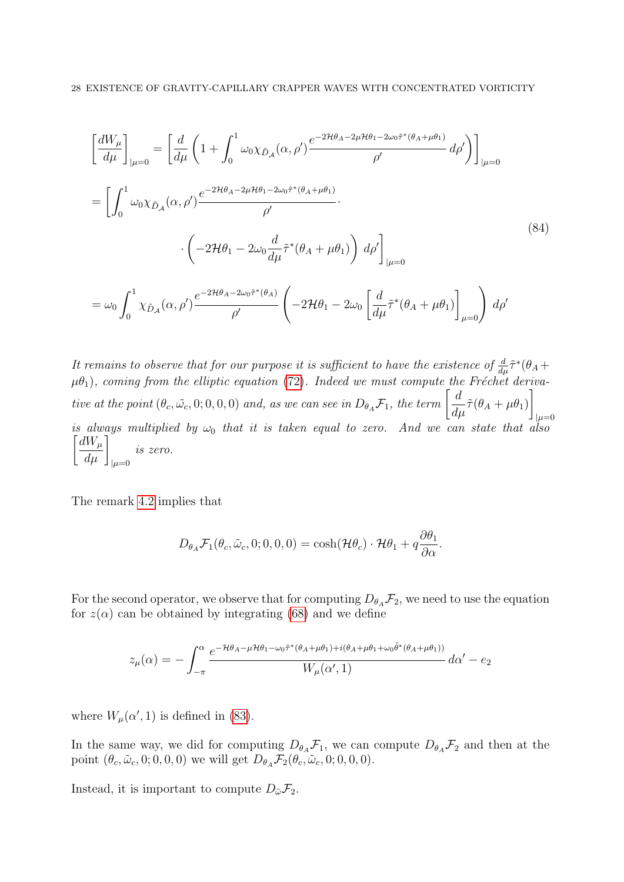$$
\begin{split}\n\left[\frac{dW_{\mu}}{d\mu}\right]_{|\mu=0} &= \left[\frac{d}{d\mu}\left(1+\int_{0}^{1}\omega_{0}\chi_{\tilde{D}_{\mathcal{A}}}(\alpha,\rho')\frac{e^{-2\mathcal{H}\theta_{A}-2\mu\mathcal{H}\theta_{1}-2\omega_{0}\tilde{\tau}^{*}(\theta_{A}+\mu\theta_{1})}}{\rho'}\,d\rho'\right)\right]_{|\mu=0} \\
&= \left[\int_{0}^{1}\omega_{0}\chi_{\tilde{D}_{\mathcal{A}}}(\alpha,\rho')\frac{e^{-2\mathcal{H}\theta_{A}-2\mu\mathcal{H}\theta_{1}-2\omega_{0}\tilde{\tau}^{*}(\theta_{A}+\mu\theta_{1})}}{\rho'}\cdot \\
&\cdot\left(-2\mathcal{H}\theta_{1}-2\omega_{0}\frac{d}{d\mu}\tilde{\tau}^{*}(\theta_{A}+\mu\theta_{1})\right)d\rho'\right]_{|\mu=0} \\
&= \omega_{0}\int_{0}^{1}\chi_{\tilde{D}_{\mathcal{A}}}(\alpha,\rho')\frac{e^{-2\mathcal{H}\theta_{A}-2\omega_{0}\tilde{\tau}^{*}(\theta_{A})}}{\rho'}\left(-2\mathcal{H}\theta_{1}-2\omega_{0}\left[\frac{d}{d\mu}\tilde{\tau}^{*}(\theta_{A}+\mu\theta_{1})\right]_{\mu=0}\right)d\rho' \\
\end{split}
$$
\n
$$
(84)
$$

It remains to observe that for our purpose it is sufficient to have the existence of  $\frac{d}{d\mu}\tilde{\tau}^*(\theta_A +$  $\mu\theta_1$ ), coming from the elliptic equation [\(72\)](#page-21-1). Indeed we must compute the Fréchet derivative at the point  $(\theta_c, \tilde{\omega_c}, 0; 0, 0, 0)$  and, as we can see in  $D_{\theta_A} \mathcal{F}_1$ , the term  $\begin{bmatrix} d \\ \frac{d}{dt} \end{bmatrix}$  $\frac{d}{d\mu}\tilde{\tau}(\theta_A+\mu\theta_1)$ 1  $|\mu=0$ is always multiplied by  $\omega_0$  that it is taken equal to zero. And we can state that also  $\left[\frac{dW_\mu}{d\mu}\right]_{|\mu=0}$ is zero.

The remark [4.2](#page-26-0) implies that

$$
D_{\theta_A} \mathcal{F}_1(\theta_c, \tilde{\omega}_c, 0; 0, 0, 0) = \cosh(\mathcal{H}\theta_c) \cdot \mathcal{H}\theta_1 + q \frac{\partial \theta_1}{\partial \alpha}.
$$

For the second operator, we observe that for computing  $D_{\theta_A} \mathcal{F}_2$ , we need to use the equation for  $z(\alpha)$  can be obtained by integrating [\(68\)](#page-20-2) and we define

$$
z_{\mu}(\alpha) = -\int_{-\pi}^{\alpha} \frac{e^{-\mathcal{H}\theta_{A} - \mu\mathcal{H}\theta_{1} - \omega_{0}\tilde{\tau}^{*}(\theta_{A} + \mu\theta_{1}) + i(\theta_{A} + \mu\theta_{1} + \omega_{0}\tilde{\theta}^{*}(\theta_{A} + \mu\theta_{1}))}}{W_{\mu}(\alpha', 1)} d\alpha' - e_{2}
$$

where  $W_{\mu}(\alpha', 1)$  is defined in [\(83\)](#page-26-1).

In the same way, we did for computing  $D_{\theta_A} \mathcal{F}_1$ , we can compute  $D_{\theta_A} \mathcal{F}_2$  and then at the point  $(\theta_c, \tilde{\omega}_c, 0; 0, 0, 0)$  we will get  $D_{\theta_A} \mathcal{F}_2(\theta_c, \tilde{\omega}_c, 0; 0, 0, 0)$ .

Instead, it is important to compute  $D_{\tilde{\omega}}\mathcal{F}_2$ .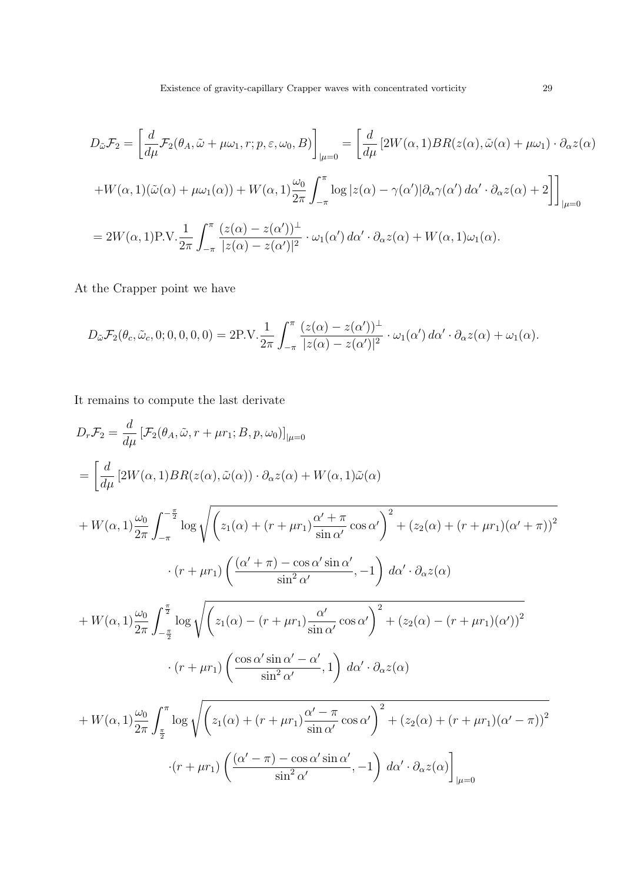$$
D_{\tilde{\omega}}\mathcal{F}_{2} = \left[\frac{d}{d\mu}\mathcal{F}_{2}(\theta_{A},\tilde{\omega}+\mu\omega_{1},r;p,\varepsilon,\omega_{0},B)\right]_{|\mu=0} = \left[\frac{d}{d\mu}\left[2W(\alpha,1)BR(z(\alpha),\tilde{\omega}(\alpha)+\mu\omega_{1})\cdot\partial_{\alpha}z(\alpha)\right]\right]_{|\mu=0}
$$
  
+
$$
W(\alpha,1)(\tilde{\omega}(\alpha)+\mu\omega_{1}(\alpha))+W(\alpha,1)\frac{\omega_{0}}{2\pi}\int_{-\pi}^{\pi}\log|z(\alpha)-\gamma(\alpha')|\partial_{\alpha}\gamma(\alpha')d\alpha'\cdot\partial_{\alpha}z(\alpha)+2\right]\bigg]_{|\mu=0}
$$
  
= 
$$
2W(\alpha,1)P.V.\frac{1}{2\pi}\int_{-\pi}^{\pi}\frac{(z(\alpha)-z(\alpha'))^{\perp}}{|z(\alpha)-z(\alpha')|^{2}}\cdot\omega_{1}(\alpha')d\alpha'\cdot\partial_{\alpha}z(\alpha)+W(\alpha,1)\omega_{1}(\alpha).
$$

At the Crapper point we have

$$
D_{\tilde{\omega}} \mathcal{F}_2(\theta_c, \tilde{\omega}_c, 0; 0, 0, 0, 0) = 2P.V. \frac{1}{2\pi} \int_{-\pi}^{\pi} \frac{(z(\alpha) - z(\alpha'))^{\perp}}{|z(\alpha) - z(\alpha')|^2} \cdot \omega_1(\alpha') d\alpha' \cdot \partial_{\alpha} z(\alpha) + \omega_1(\alpha).
$$

It remains to compute the last derivate

$$
D_r \mathcal{F}_2 = \frac{d}{d\mu} \left[ \mathcal{F}_2(\theta_A, \tilde{\omega}, r + \mu r_1; B, p, \omega_0) \right]_{|\mu=0}
$$
  
\n
$$
= \left[ \frac{d}{d\mu} \left[ 2W(\alpha, 1)BR(z(\alpha), \tilde{\omega}(\alpha)) \cdot \partial_{\alpha} z(\alpha) + W(\alpha, 1) \tilde{\omega}(\alpha) \right. \right.\n+ W(\alpha, 1) \frac{\omega_0}{2\pi} \int_{-\pi}^{-\frac{\pi}{2}} \log \sqrt{\left( z_1(\alpha) + (r + \mu r_1) \frac{\alpha' + \pi}{\sin \alpha'} \cos \alpha' \right)^2 + \left( z_2(\alpha) + (r + \mu r_1)(\alpha' + \pi) \right)^2}
$$
  
\n
$$
\cdot (r + \mu r_1) \left( \frac{(\alpha' + \pi) - \cos \alpha' \sin \alpha'}{\sin^2 \alpha'} , -1 \right) d\alpha' \cdot \partial_{\alpha} z(\alpha)
$$
  
\n+ W(\alpha, 1) \frac{\omega\_0}{2\pi} \int\_{-\frac{\pi}{2}}^{\frac{\pi}{2}} \log \sqrt{\left( z\_1(\alpha) - (r + \mu r\_1) \frac{\alpha'}{\sin \alpha'} \cos \alpha' \right)^2 + \left( z\_2(\alpha) - (r + \mu r\_1)(\alpha') \right)^2}  
\n
$$
\cdot (r + \mu r_1) \left( \frac{\cos \alpha' \sin \alpha' - \alpha'}{\sin^2 \alpha'}, 1 \right) d\alpha' \cdot \partial_{\alpha} z(\alpha)
$$
  
\n+ W(\alpha, 1) \frac{\omega\_0}{2\pi} \int\_{\frac{\pi}{2}}^{\frac{\pi}{2}} \log \sqrt{\left( z\_1(\alpha) + (r + \mu r\_1) \frac{\alpha' - \pi}{\sin \alpha'} \cos \alpha' \right)^2 + \left( z\_2(\alpha) + (r + \mu r\_1)(\alpha' - \pi) \right)^2}  
\n
$$
\cdot (r + \mu r_1) \left( \frac{(\alpha' - \pi) - \cos \alpha' \sin \alpha'}{\sin^2 \alpha'} , -1 \right) d\alpha' \cdot \partial_{\alpha} z(\alpha) \Big]_{|\mu=0}
$$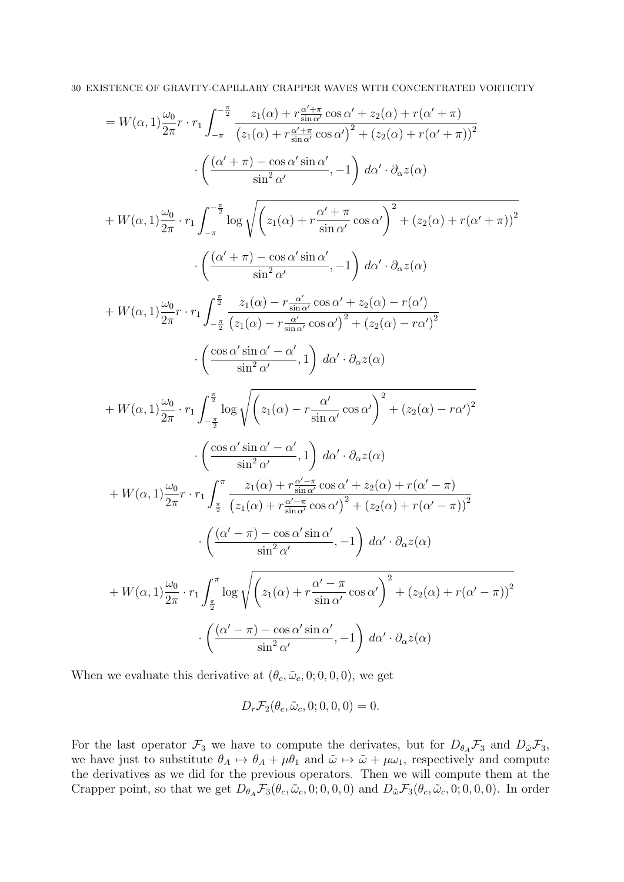30 EXISTENCE OF GRAVITY-CAPILLARY CRAPPER WAVES WITH CONCENTRATED VORTICITY

$$
=W(\alpha,1)\frac{\omega_{0}}{2\pi}\cdot r_{1}\int_{-\pi}^{\pi}\frac{z_{1}(\alpha)+r\frac{\alpha'+\pi}{\sin\alpha'}\cos\alpha'+z_{2}(\alpha)+r(\alpha'+\pi)}{(z_{1}(\alpha)+r\frac{\alpha'+\pi}{\sin\alpha'}\cos\alpha')^{2}+(z_{2}(\alpha)+r(\alpha'+\pi))^{2}}\\ \cdot\left(\frac{(\alpha'+\pi)-\cos\alpha'\sin\alpha'}{\sin^{2}\alpha'},-1\right)\,d\alpha'\cdot\partial_{\alpha}z(\alpha)\\ +W(\alpha,1)\frac{\omega_{0}}{2\pi}\cdot r_{1}\int_{-\pi}^{\pi}\log\sqrt{\left(z_{1}(\alpha)+r\frac{\alpha'+\pi}{\sin\alpha'}\cos\alpha'\right)^{2}+(z_{2}(\alpha)+r(\alpha'+\pi))^{2}}\\ \cdot\left(\frac{(\alpha'+\pi)-\cos\alpha'\sin\alpha'}{\sin^{2}\alpha'},-1\right)\,d\alpha'\cdot\partial_{\alpha}z(\alpha)\\ +W(\alpha,1)\frac{\omega_{0}}{2\pi}\cdot r_{1}\int_{-\frac{\pi}{2}}^{\pi}\frac{z_{1}(\alpha)-r\frac{\alpha'}{\sin\alpha'}\cos\alpha'+z_{2}(\alpha)-r(\alpha')}{\sin^{2}\alpha'}\\ \cdot\left(\frac{(\cos\alpha'\sin\alpha'-\alpha'}{\sin^{2}\alpha'},1\right)\,d\alpha'\cdot\partial_{\alpha}z(\alpha)\\ +W(\alpha,1)\frac{\omega_{0}}{2\pi}\cdot r_{1}\int_{-\frac{\pi}{2}}^{\pi}\log\sqrt{\left(z_{1}(\alpha)-r\frac{\alpha'}{\sin\alpha'}\cos\alpha'\right)^{2}+(z_{2}(\alpha)-r\alpha')^{2}}\\ \cdot\left(\frac{\cos\alpha'\sin\alpha'-\alpha'}{\sin^{2}\alpha'},1\right)\,d\alpha'\cdot\partial_{\alpha}z(\alpha)\\ +W(\alpha,1)\frac{\omega_{0}}{2\pi}\cdot r_{1}\int_{-\frac{\pi}{2}}^{\pi}\log\sqrt{\left(z_{1}(\alpha)-r\frac{\alpha'}{\sin\alpha'}\cos\alpha'\right)^{2}+(z_{2}(\alpha)-r\alpha')^{2}}\\ \cdot\left(\frac{\cos\alpha'\sin\alpha'-\alpha'}{\sin^{2}\alpha'},1\right)\,d\alpha'\cdot\partial_{\alpha}z(\alpha)\\ +W(\alpha,1)\frac{\omega_{0}}{2\pi}\cdot r_{1}\int_{\frac{\pi}{2}}^{\pi}\frac{z_{1}(\alpha)+r\frac{\alpha'-\pi}{\sin\
$$

When we evaluate this derivative at  $(\theta_c, \tilde{\omega}_c, 0; 0, 0, 0)$ , we get

$$
D_r \mathcal{F}_2(\theta_c, \tilde{\omega}_c, 0; 0, 0, 0) = 0.
$$

For the last operator  $\mathcal{F}_3$  we have to compute the derivates, but for  $D_{\theta_A} \mathcal{F}_3$  and  $D_{\tilde{\omega}} \mathcal{F}_3$ , we have just to substitute  $\theta_A \mapsto \theta_A + \mu \theta_1$  and  $\tilde{\omega} \mapsto \tilde{\omega} + \mu \omega_1$ , respectively and compute the derivatives as we did for the previous operators. Then we will compute them at the Crapper point, so that we get  $D_{\theta_A} \mathcal{F}_3(\theta_c, \tilde{\omega}_c, 0; 0, 0, 0)$  and  $D_{\tilde{\omega}} \mathcal{F}_3(\theta_c, \tilde{\omega}_c, 0; 0, 0, 0)$ . In order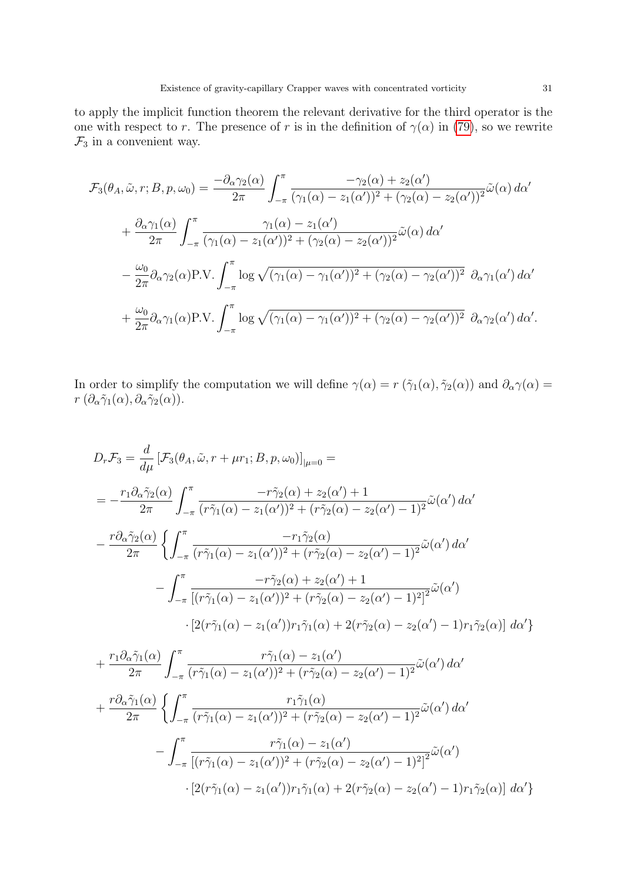to apply the implicit function theorem the relevant derivative for the third operator is the one with respect to r. The presence of r is in the definition of  $\gamma(\alpha)$  in [\(79\)](#page-24-0), so we rewrite  $\mathcal{F}_3$  in a convenient way.

$$
\mathcal{F}_3(\theta_A, \tilde{\omega}, r; B, p, \omega_0) = \frac{-\partial_{\alpha} \gamma_2(\alpha)}{2\pi} \int_{-\pi}^{\pi} \frac{-\gamma_2(\alpha) + z_2(\alpha')}{(\gamma_1(\alpha) - z_1(\alpha'))^2 + (\gamma_2(\alpha) - z_2(\alpha'))^2} \tilde{\omega}(\alpha) d\alpha' \n+ \frac{\partial_{\alpha} \gamma_1(\alpha)}{2\pi} \int_{-\pi}^{\pi} \frac{\gamma_1(\alpha) - z_1(\alpha')}{(\gamma_1(\alpha) - z_1(\alpha'))^2 + (\gamma_2(\alpha) - z_2(\alpha'))^2} \tilde{\omega}(\alpha) d\alpha' \n- \frac{\omega_0}{2\pi} \partial_{\alpha} \gamma_2(\alpha) P.V. \int_{-\pi}^{\pi} \log \sqrt{(\gamma_1(\alpha) - \gamma_1(\alpha'))^2 + (\gamma_2(\alpha) - \gamma_2(\alpha'))^2} \partial_{\alpha} \gamma_1(\alpha') d\alpha' \n+ \frac{\omega_0}{2\pi} \partial_{\alpha} \gamma_1(\alpha) P.V. \int_{-\pi}^{\pi} \log \sqrt{(\gamma_1(\alpha) - \gamma_1(\alpha'))^2 + (\gamma_2(\alpha) - \gamma_2(\alpha'))^2} \partial_{\alpha} \gamma_2(\alpha') d\alpha'.
$$

In order to simplify the computation we will define  $\gamma(\alpha) = r(\tilde{\gamma}_1(\alpha), \tilde{\gamma}_2(\alpha))$  and  $\partial_{\alpha} \gamma(\alpha) =$  $r \left( \partial_\alpha \tilde{\gamma}_1(\alpha), \partial_\alpha \tilde{\gamma}_2(\alpha) \right)$ .

$$
D_r \mathcal{F}_3 = \frac{d}{d\mu} \left[ \mathcal{F}_3(\theta_A, \tilde{\omega}, r + \mu r_1; B, p, \omega_0) \right]_{|\mu=0} =
$$
  
\n
$$
= -\frac{r_1 \partial_\alpha \tilde{\gamma}_2(\alpha)}{2\pi} \int_{-\pi}^{\pi} \frac{-r \tilde{\gamma}_2(\alpha) + z_2(\alpha') + 1}{(r \tilde{\gamma}_1(\alpha) - z_1(\alpha'))^2 + (r \tilde{\gamma}_2(\alpha) - z_2(\alpha') - 1)^2} \tilde{\omega}(\alpha') d\alpha'
$$
  
\n
$$
- \frac{r \partial_\alpha \tilde{\gamma}_2(\alpha)}{2\pi} \left\{ \int_{-\pi}^{\pi} \frac{-r_1 \tilde{\gamma}_2(\alpha)}{(r \tilde{\gamma}_1(\alpha) - z_1(\alpha'))^2 + (r \tilde{\gamma}_2(\alpha) - z_2(\alpha') - 1)^2} \tilde{\omega}(\alpha') d\alpha' - \int_{-\pi}^{\pi} \frac{-r \tilde{\gamma}_2(\alpha) + z_2(\alpha') + 1}{[(r \tilde{\gamma}_1(\alpha) - z_1(\alpha'))^2 + (r \tilde{\gamma}_2(\alpha) - z_2(\alpha') - 1)^2]^2} \tilde{\omega}(\alpha')
$$
  
\n
$$
\cdot \left[ 2(r \tilde{\gamma}_1(\alpha) - z_1(\alpha'))r_1 \tilde{\gamma}_1(\alpha) + 2(r \tilde{\gamma}_2(\alpha) - z_2(\alpha') - 1)r_1 \tilde{\gamma}_2(\alpha) \right] d\alpha' \right\}
$$

$$
+\frac{r_1 \partial_\alpha \tilde{\gamma}_1(\alpha)}{2\pi} \int_{-\pi}^\pi \frac{r \tilde{\gamma}_1(\alpha) - z_1(\alpha')}{(r \tilde{\gamma}_1(\alpha) - z_1(\alpha'))^2 + (r \tilde{\gamma}_2(\alpha) - z_2(\alpha') - 1)^2} \tilde{\omega}(\alpha') d\alpha'
$$
  
+
$$
\frac{r \partial_\alpha \tilde{\gamma}_1(\alpha)}{2\pi} \left\{ \int_{-\pi}^\pi \frac{r_1 \tilde{\gamma}_1(\alpha)}{(r \tilde{\gamma}_1(\alpha) - z_1(\alpha'))^2 + (r \tilde{\gamma}_2(\alpha) - z_2(\alpha') - 1)^2} \tilde{\omega}(\alpha') d\alpha' - \int_{-\pi}^\pi \frac{r \tilde{\gamma}_1(\alpha) - z_1(\alpha')}{[(r \tilde{\gamma}_1(\alpha) - z_1(\alpha'))^2 + (r \tilde{\gamma}_2(\alpha) - z_2(\alpha') - 1)^2]^2} \tilde{\omega}(\alpha') - \frac{[2(r \tilde{\gamma}_1(\alpha) - z_1(\alpha'))^2 + (r \tilde{\gamma}_2(\alpha) - z_2(\alpha') - 1)^2]^2}{[2(r \tilde{\gamma}_1(\alpha) - z_1(\alpha'))^2 + (r \tilde{\gamma}_2(\alpha) - z_2(\alpha') - 1)^2]^2} \tilde{\omega}(\alpha') d\alpha' \right\}
$$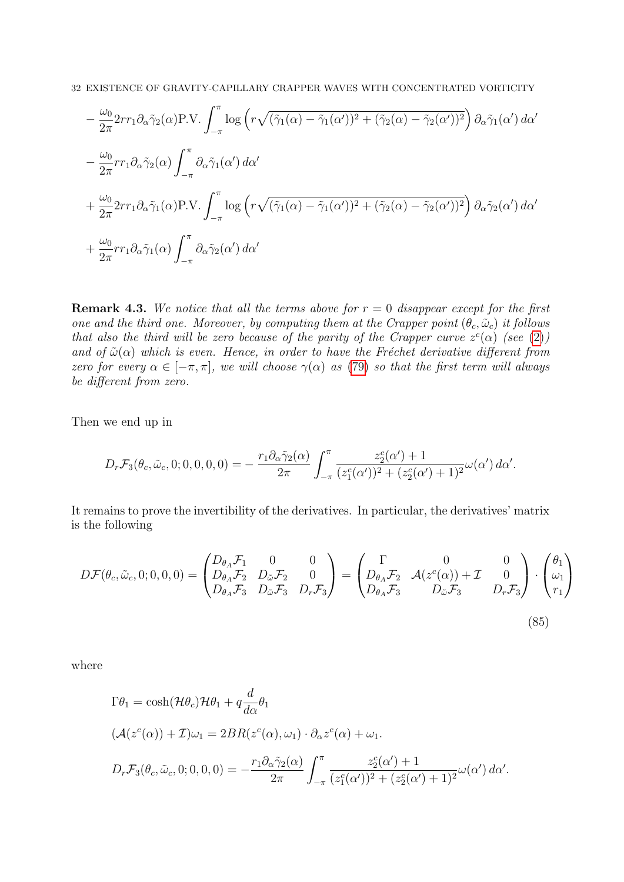$$
-\frac{\omega_0}{2\pi} 2rr_1 \partial_\alpha \tilde{\gamma}_2(\alpha) P.V. \int_{-\pi}^{\pi} \log \left( r \sqrt{(\tilde{\gamma}_1(\alpha) - \tilde{\gamma}_1(\alpha'))^2 + (\tilde{\gamma}_2(\alpha) - \tilde{\gamma}_2(\alpha'))^2} \right) \partial_\alpha \tilde{\gamma}_1(\alpha') d\alpha' - \frac{\omega_0}{2\pi} rr_1 \partial_\alpha \tilde{\gamma}_2(\alpha) \int_{-\pi}^{\pi} \partial_\alpha \tilde{\gamma}_1(\alpha') d\alpha' + \frac{\omega_0}{2\pi} 2rr_1 \partial_\alpha \tilde{\gamma}_1(\alpha) P.V. \int_{-\pi}^{\pi} \log \left( r \sqrt{(\tilde{\gamma}_1(\alpha) - \tilde{\gamma}_1(\alpha'))^2 + (\tilde{\gamma}_2(\alpha) - \tilde{\gamma}_2(\alpha'))^2} \right) \partial_\alpha \tilde{\gamma}_2(\alpha') d\alpha' + \frac{\omega_0}{2\pi} rr_1 \partial_\alpha \tilde{\gamma}_1(\alpha) \int_{-\pi}^{\pi} \partial_\alpha \tilde{\gamma}_2(\alpha') d\alpha'
$$

**Remark 4.3.** We notice that all the terms above for  $r = 0$  disappear except for the first one and the third one. Moreover, by computing them at the Crapper point  $(\theta_c, \tilde{\omega}_c)$  it follows that also the third will be zero because of the parity of the Crapper curve  $z^c(\alpha)$  (see [\(2\)](#page-2-6)) and of  $\tilde{\omega}(\alpha)$  which is even. Hence, in order to have the Fréchet derivative different from zero for every  $\alpha \in [-\pi, \pi]$ , we will choose  $\gamma(\alpha)$  as [\(79\)](#page-24-0) so that the first term will always be different from zero.

Then we end up in

$$
D_r \mathcal{F}_3(\theta_c, \tilde{\omega}_c, 0; 0, 0, 0, 0) = -\frac{r_1 \partial_\alpha \tilde{\gamma}_2(\alpha)}{2\pi} \int_{-\pi}^{\pi} \frac{z_2^c(\alpha') + 1}{(z_1^c(\alpha'))^2 + (z_2^c(\alpha') + 1)^2} \omega(\alpha') d\alpha'.
$$

It remains to prove the invertibility of the derivatives. In particular, the derivatives' matrix is the following

$$
D\mathcal{F}(\theta_c, \tilde{\omega}_c, 0; 0, 0, 0) = \begin{pmatrix} D_{\theta_A} \mathcal{F}_1 & 0 & 0 \\ D_{\theta_A} \mathcal{F}_2 & D_{\tilde{\omega}} \mathcal{F}_2 & 0 \\ D_{\theta_A} \mathcal{F}_3 & D_{\tilde{\omega}} \mathcal{F}_3 & D_r \mathcal{F}_3 \end{pmatrix} = \begin{pmatrix} \Gamma & 0 & 0 \\ D_{\theta_A} \mathcal{F}_2 & \mathcal{A}(z^c(\alpha)) + \mathcal{I} & 0 \\ D_{\theta_A} \mathcal{F}_3 & D_{\tilde{\omega}} \mathcal{F}_3 & D_r \mathcal{F}_3 \end{pmatrix} \cdot \begin{pmatrix} \theta_1 \\ \omega_1 \\ r_1 \end{pmatrix}
$$
\n(85)

where

$$
\Gamma \theta_1 = \cosh(\mathcal{H}\theta_c)\mathcal{H}\theta_1 + q \frac{d}{d\alpha} \theta_1
$$
  

$$
(\mathcal{A}(z^c(\alpha)) + \mathcal{I})\omega_1 = 2BR(z^c(\alpha), \omega_1) \cdot \partial_{\alpha} z^c(\alpha) + \omega_1.
$$
  

$$
D_r \mathcal{F}_3(\theta_c, \tilde{\omega}_c, 0; 0, 0, 0) = -\frac{r_1 \partial_{\alpha} \tilde{\gamma}_2(\alpha)}{2\pi} \int_{-\pi}^{\pi} \frac{z_2^c(\alpha') + 1}{(z_1^c(\alpha'))^2 + (z_2^c(\alpha') + 1)^2} \omega(\alpha') d\alpha'.
$$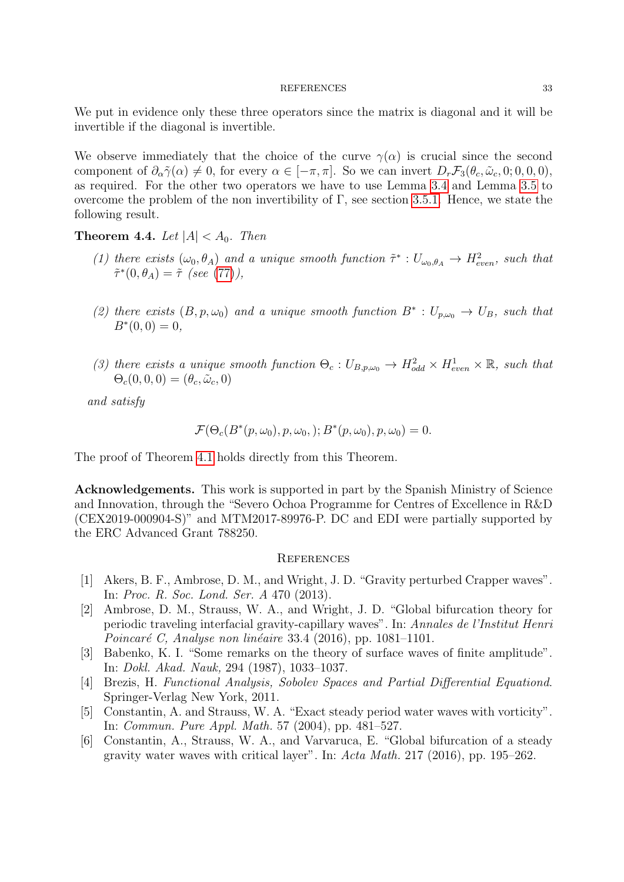#### REFERENCES 33

We put in evidence only these three operators since the matrix is diagonal and it will be invertible if the diagonal is invertible.

We observe immediately that the choice of the curve  $\gamma(\alpha)$  is crucial since the second component of  $\partial_{\alpha}\tilde{\gamma}(\alpha) \neq 0$ , for every  $\alpha \in [-\pi, \pi]$ . So we can invert  $D_r\mathcal{F}_3(\theta_c, \tilde{\omega}_c, 0; 0, 0, 0)$ , as required. For the other two operators we have to use Lemma [3.4](#page-14-1) and Lemma [3.5](#page-14-2) to overcome the problem of the non invertibility of  $\Gamma$ , see section [3.5.1.](#page-11-0) Hence, we state the following result.

**Theorem 4.4.** Let  $|A| < A_0$ . Then

- (1) there exists  $(\omega_0, \theta_A)$  and a unique smooth function  $\tilde{\tau}^* : U_{\omega_0, \theta_A} \to H_{even}^2$ , such that  $\tilde{\tau}^*(0,\theta_A) = \tilde{\tau}$  (see [\(77\)](#page-23-1)),
- (2) there exists  $(B, p, \omega_0)$  and a unique smooth function  $B^* : U_{p,\omega_0} \to U_B$ , such that  $B^*(0,0) = 0,$
- (3) there exists a unique smooth function  $\Theta_c: U_{B,p,\omega_0} \to H^2_{odd} \times H^1_{even} \times \mathbb{R}$ , such that  $\Theta_c(0,0,0) = (\theta_c, \tilde{\omega}_c, 0)$

and satisfy

$$
\mathcal{F}(\Theta_c(B^*(p,\omega_0),p,\omega_0,);B^*(p,\omega_0),p,\omega_0)=0.
$$

The proof of Theorem [4.1](#page-25-0) holds directly from this Theorem.

Acknowledgements. This work is supported in part by the Spanish Ministry of Science and Innovation, through the "Severo Ochoa Programme for Centres of Excellence in R&D (CEX2019-000904-S)" and MTM2017-89976-P. DC and EDI were partially supported by the ERC Advanced Grant 788250.

### **REFERENCES**

- <span id="page-32-0"></span>[1] Akers, B. F., Ambrose, D. M., and Wright, J. D. "Gravity perturbed Crapper waves". In: Proc. R. Soc. Lond. Ser. A 470 (2013).
- <span id="page-32-1"></span>[2] Ambrose, D. M., Strauss, W. A., and Wright, J. D. "Global bifurcation theory for periodic traveling interfacial gravity-capillary waves". In: Annales de l'Institut Henri *Poincaré C, Analyse non linéaire* 33.4 (2016), pp. 1081–1101.
- <span id="page-32-3"></span>[3] Babenko, K. I. "Some remarks on the theory of surface waves of finite amplitude". In: Dokl. Akad. Nauk, 294 (1987), 1033–1037.
- <span id="page-32-5"></span>[4] Brezis, H. Functional Analysis, Sobolev Spaces and Partial Differential Equationd. Springer-Verlag New York, 2011.
- <span id="page-32-2"></span>[5] Constantin, A. and Strauss, W. A. "Exact steady period water waves with vorticity". In: Commun. Pure Appl. Math. 57 (2004), pp. 481–527.
- <span id="page-32-4"></span>[6] Constantin, A., Strauss, W. A., and Varvaruca, E. "Global bifurcation of a steady gravity water waves with critical layer". In: Acta Math. 217 (2016), pp. 195–262.